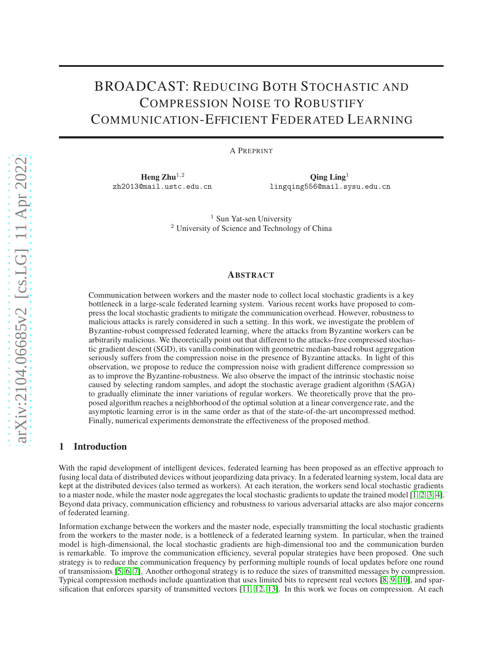# BROADCAST: REDUCING BOTH STOCHASTIC AND COMPRESSION NOISE TO ROBUSTIFY COMMUNICATION-EFFICIENT FEDERATED LEARNING

A PREPRINT

Heng  $Zhu^{1,2}$ zh2013@mail.ustc.edu.cn

 $\rm{Oing}$  Ling<sup>1</sup> lingqing556@mail.sysu.edu.cn

<sup>1</sup> Sun Yat-sen University <sup>2</sup> University of Science and Technology of China

## ABSTRACT

Communication between workers and the master node to collect local stochastic gradients is a key bottleneck in a large-scale federated learning system. Various recent works have proposed to compress the local stochastic gradients to mitigate the communication overhead. However, robustness to malicious attacks is rarely considered in such a setting. In this work, we investigate the problem of Byzantine-robust compressed federated learning, where the attacks from Byzantine workers can be arbitrarily malicious. We theoretically point out that different to the attacks-free compressed stochastic gradient descent (SGD), its vanilla combination with geometric median-based robust aggregation seriously suffers from the compression noise in the presence of Byzantine attacks. In light of this observation, we propose to reduce the compression noise with gradient difference compression so as to improve the Byzantine-robustness. We also observe the impact of the intrinsic stochastic noise caused by selecting random samples, and adopt the stochastic average gradient algorithm (SAGA) to gradually eliminate the inner variations of regular workers. We theoretically prove that the proposed algorithm reaches a neighborhood of the optimal solution at a linear convergence rate, and the asymptotic learning error is in the same order as that of the state-of-the-art uncompressed method. Finally, numerical experiments demonstrate the effectiveness of the proposed method.

# 1 Introduction

With the rapid development of intelligent devices, federated learning has been proposed as an effective approach to fusing local data of distributed devices without jeopardizing data privacy. In a federated learning system, local data are kept at the distributed devices (also termed as workers). At each iteration, the workers send local stochastic gradients to a master node, while the master node aggregates the local stochastic gradients to update the trained model [\[1,](#page-12-0) [2,](#page-12-1) [3,](#page-12-2) [4\]](#page-13-0). Beyond data privacy, communication efficiency and robustness to various adversarial attacks are also major concerns of federated learning.

Information exchange between the workers and the master node, especially transmitting the local stochastic gradients from the workers to the master node, is a bottleneck of a federated learning system. In particular, when the trained model is high-dimensional, the local stochastic gradients are high-dimensional too and the communication burden is remarkable. To improve the communication efficiency, several popular strategies have been proposed. One such strategy is to reduce the communication frequency by performing multiple rounds of local updates before one round of transmissions [\[5,](#page-13-1) [6,](#page-13-2) [7\]](#page-13-3). Another orthogonal strategy is to reduce the sizes of transmitted messages by compression. Typical compression methods include quantization that uses limited bits to represent real vectors [\[8,](#page-13-4) [9,](#page-13-5) [10\]](#page-13-6), and sparsification that enforces sparsity of transmitted vectors [\[11,](#page-13-7) [12,](#page-13-8) [13\]](#page-13-9). In this work we focus on compression. At each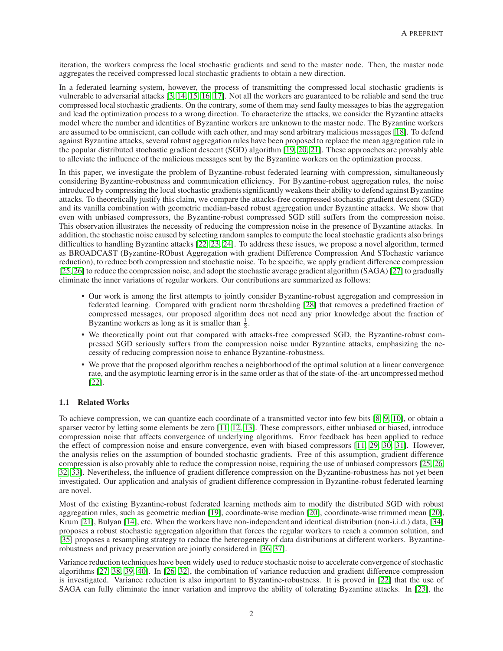iteration, the workers compress the local stochastic gradients and send to the master node. Then, the master node aggregates the received compressed local stochastic gradients to obtain a new direction.

In a federated learning system, however, the process of transmitting the compressed local stochastic gradients is vulnerable to adversarial attacks [\[3,](#page-12-2) [14,](#page-13-10) [15,](#page-13-11) [16,](#page-13-12) [17\]](#page-13-13). Not all the workers are guaranteed to be reliable and send the true compressed local stochastic gradients. On the contrary, some of them may send faulty messages to bias the aggregation and lead the optimization process to a wrong direction. To characterize the attacks, we consider the Byzantine attacks model where the number and identities of Byzantine workers are unknown to the master node. The Byzantine workers are assumed to be omniscient, can collude with each other, and may send arbitrary malicious messages [\[18\]](#page-13-14). To defend against Byzantine attacks, several robust aggregation rules have been proposed to replace the mean aggregation rule in the popular distributed stochastic gradient descent (SGD) algorithm [\[19,](#page-13-15) [20,](#page-13-16) [21\]](#page-13-17). These approaches are provably able to alleviate the influence of the malicious messages sent by the Byzantine workers on the optimization process.

In this paper, we investigate the problem of Byzantine-robust federated learning with compression, simultaneously considering Byzantine-robustness and communication efficiency. For Byzantine-robust aggregation rules, the noise introduced by compressing the local stochastic gradients significantly weakens their ability to defend against Byzantine attacks. To theoretically justify this claim, we compare the attacks-free compressed stochastic gradient descent (SGD) and its vanilla combination with geometric median-based robust aggregation under Byzantine attacks. We show that even with unbiased compressors, the Byzantine-robust compressed SGD still suffers from the compression noise. This observation illustrates the necessity of reducing the compression noise in the presence of Byzantine attacks. In addition, the stochastic noise caused by selecting random samples to compute the local stochastic gradients also brings difficulties to handling Byzantine attacks [\[22,](#page-13-18) [23,](#page-13-19) [24\]](#page-13-20). To address these issues, we propose a novel algorithm, termed as BROADCAST (Byzantine-RObust Aggregation with gradient Difference Compression And STochastic variance reduction), to reduce both compression and stochastic noise. To be specific, we apply gradient difference compression [\[25,](#page-13-21) [26\]](#page-14-0) to reduce the compression noise, and adopt the stochastic average gradient algorithm (SAGA) [\[27\]](#page-14-1) to gradually eliminate the inner variations of regular workers. Our contributions are summarized as follows:

- Our work is among the first attempts to jointly consider Byzantine-robust aggregation and compression in federated learning. Compared with gradient norm thresholding [\[28\]](#page-14-2) that removes a predefined fraction of compressed messages, our proposed algorithm does not need any prior knowledge about the fraction of Byzantine workers as long as it is smaller than  $\frac{1}{2}$ .
- We theoretically point out that compared with attacks-free compressed SGD, the Byzantine-robust compressed SGD seriously suffers from the compression noise under Byzantine attacks, emphasizing the necessity of reducing compression noise to enhance Byzantine-robustness.
- We prove that the proposed algorithm reaches a neighborhood of the optimal solution at a linear convergence rate, and the asymptotic learning error is in the same order as that of the state-of-the-art uncompressed method [\[22\]](#page-13-18).

## 1.1 Related Works

To achieve compression, we can quantize each coordinate of a transmitted vector into few bits [\[8,](#page-13-4) [9,](#page-13-5) [10\]](#page-13-6), or obtain a sparser vector by letting some elements be zero [\[11,](#page-13-7) [12,](#page-13-8) [13\]](#page-13-9). These compressors, either unbiased or biased, introduce compression noise that affects convergence of underlying algorithms. Error feedback has been applied to reduce the effect of compression noise and ensure convergence, even with biased compressors [\[11,](#page-13-7) [29,](#page-14-3) [30,](#page-14-4) [31\]](#page-14-5). However, the analysis relies on the assumption of bounded stochastic gradients. Free of this assumption, gradient difference compression is also provably able to reduce the compression noise, requiring the use of unbiased compressors [\[25,](#page-13-21) [26,](#page-14-0) [32,](#page-14-6) [33\]](#page-14-7). Nevertheless, the influence of gradient difference compression on the Byzantine-robustness has not yet been investigated. Our application and analysis of gradient difference compression in Byzantine-robust federated learning are novel.

Most of the existing Byzantine-robust federated learning methods aim to modify the distributed SGD with robust aggregation rules, such as geometric median [\[19\]](#page-13-15), coordinate-wise median [\[20\]](#page-13-16), coordinate-wise trimmed mean [\[20\]](#page-13-16), Krum [\[21\]](#page-13-17), Bulyan [\[14\]](#page-13-10), etc. When the workers have non-independent and identical distribution (non-i.i.d.) data, [\[34\]](#page-14-8) proposes a robust stochastic aggregation algorithm that forces the regular workers to reach a common solution, and [\[35\]](#page-14-9) proposes a resampling strategy to reduce the heterogeneity of data distributions at different workers. Byzantinerobustness and privacy preservation are jointly considered in [\[36,](#page-14-10) [37\]](#page-14-11).

Variance reduction techniques have been widely used to reduce stochastic noise to accelerate convergence of stochastic algorithms [\[27,](#page-14-1) [38,](#page-14-12) [39,](#page-14-13) [40\]](#page-14-14). In [\[26,](#page-14-0) [32\]](#page-14-6), the combination of variance reduction and gradient difference compression is investigated. Variance reduction is also important to Byzantine-robustness. It is proved in [\[22\]](#page-13-18) that the use of SAGA can fully eliminate the inner variation and improve the ability of tolerating Byzantine attacks. In [\[23\]](#page-13-19), the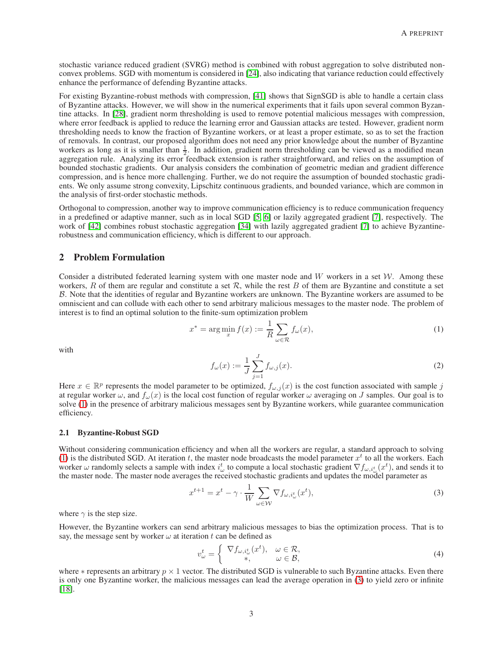stochastic variance reduced gradient (SVRG) method is combined with robust aggregation to solve distributed nonconvex problems. SGD with momentum is considered in [\[24\]](#page-13-20), also indicating that variance reduction could effectively enhance the performance of defending Byzantine attacks.

For existing Byzantine-robust methods with compression, [\[41\]](#page-14-15) shows that SignSGD is able to handle a certain class of Byzantine attacks. However, we will show in the numerical experiments that it fails upon several common Byzantine attacks. In [\[28\]](#page-14-2), gradient norm thresholding is used to remove potential malicious messages with compression, where error feedback is applied to reduce the learning error and Gaussian attacks are tested. However, gradient norm thresholding needs to know the fraction of Byzantine workers, or at least a proper estimate, so as to set the fraction of removals. In contrast, our proposed algorithm does not need any prior knowledge about the number of Byzantine workers as long as it is smaller than  $\frac{1}{2}$ . In addition, gradient norm thresholding can be viewed as a modified mean aggregation rule. Analyzing its error feedback extension is rather straightforward, and relies on the assumption of bounded stochastic gradients. Our analysis considers the combination of geometric median and gradient difference compression, and is hence more challenging. Further, we do not require the assumption of bounded stochastic gradients. We only assume strong convexity, Lipschitz continuous gradients, and bounded variance, which are common in the analysis of first-order stochastic methods.

Orthogonal to compression, another way to improve communication efficiency is to reduce communication frequency in a predefined or adaptive manner, such as in local SGD [\[5,](#page-13-1) [6\]](#page-13-2) or lazily aggregated gradient [\[7\]](#page-13-3), respectively. The work of [\[42\]](#page-14-16) combines robust stochastic aggregation [\[34\]](#page-14-8) with lazily aggregated gradient [\[7\]](#page-13-3) to achieve Byzantinerobustness and communication efficiency, which is different to our approach.

## 2 Problem Formulation

Consider a distributed federated learning system with one master node and W workers in a set  $W$ . Among these workers,  $R$  of them are regular and constitute a set  $R$ , while the rest  $B$  of them are Byzantine and constitute a set B. Note that the identities of regular and Byzantine workers are unknown. The Byzantine workers are assumed to be omniscient and can collude with each other to send arbitrary malicious messages to the master node. The problem of interest is to find an optimal solution to the finite-sum optimization problem

$$
x^* = \arg\min_x f(x) := \frac{1}{R} \sum_{\omega \in \mathcal{R}} f_{\omega}(x),\tag{1}
$$

with

<span id="page-2-0"></span>
$$
f_{\omega}(x) := \frac{1}{J} \sum_{j=1}^{J} f_{\omega,j}(x).
$$
 (2)

Here  $x \in \mathbb{R}^p$  represents the model parameter to be optimized,  $f_{\omega,j}(x)$  is the cost function associated with sample j at regular worker  $\omega$ , and  $f_\omega(x)$  is the local cost function of regular worker  $\omega$  averaging on J samples. Our goal is to solve [\(1\)](#page-2-0) in the presence of arbitrary malicious messages sent by Byzantine workers, while guarantee communication efficiency.

#### 2.1 Byzantine-Robust SGD

Without considering communication efficiency and when all the workers are regular, a standard approach to solving [\(1\)](#page-2-0) is the distributed SGD. At iteration t, the master node broadcasts the model parameter  $x^t$  to all the workers. Each worker  $\omega$  randomly selects a sample with index  $i_{\omega}^t$  to compute a local stochastic gradient  $\nabla f_{\omega,i_{\omega}^t}(x^t)$ , and sends it to the master node. The master node averages the received stochastic gradients and updates the model parameter as

<span id="page-2-1"></span>
$$
x^{t+1} = x^t - \gamma \cdot \frac{1}{W} \sum_{\omega \in \mathcal{W}} \nabla f_{\omega, i^t_{\omega}}(x^t),\tag{3}
$$

where  $\gamma$  is the step size.

However, the Byzantine workers can send arbitrary malicious messages to bias the optimization process. That is to say, the message sent by worker  $\omega$  at iteration t can be defined as

<span id="page-2-2"></span>
$$
v_{\omega}^{t} = \begin{cases} \nabla f_{\omega, i_{\omega}^{t}}(x^{t}), & \omega \in \mathcal{R}, \\ \ast, & \omega \in \mathcal{B}, \end{cases}
$$
\n(4)

where  $*$  represents an arbitrary  $p \times 1$  vector. The distributed SGD is vulnerable to such Byzantine attacks. Even there is only one Byzantine worker, the malicious messages can lead the average operation in [\(3\)](#page-2-1) to yield zero or infinite [\[18\]](#page-13-14).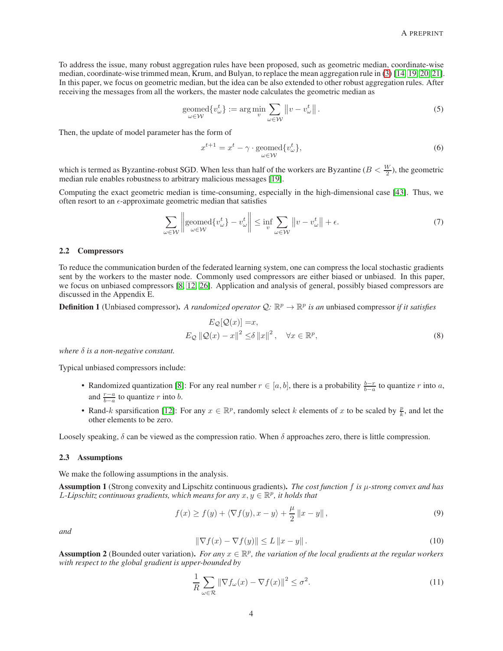To address the issue, many robust aggregation rules have been proposed, such as geometric median, coordinate-wise median, coordinate-wise trimmed mean, Krum, and Bulyan, to replace the mean aggregation rule in [\(3\)](#page-2-1) [\[14,](#page-13-10) [19,](#page-13-15) [20,](#page-13-16) [21\]](#page-13-17). In this paper, we focus on geometric median, but the idea can be also extended to other robust aggregation rules. After receiving the messages from all the workers, the master node calculates the geometric median as

$$
\underset{\omega \in \mathcal{W}}{\text{geomed}} \{ v_{\omega}^{t} \} := \underset{v}{\text{arg min}} \sum_{\omega \in \mathcal{W}} \left\| v - v_{\omega}^{t} \right\|.
$$
 (5)

Then, the update of model parameter has the form of

<span id="page-3-3"></span>
$$
x^{t+1} = x^t - \gamma \cdot \underset{\omega \in \mathcal{W}}{\text{geomed}} \{v^t_{\omega}\},\tag{6}
$$

which is termed as Byzantine-robust SGD. When less than half of the workers are Byzantine  $(B < \frac{W}{2})$ , the geometric median rule enables robustness to arbitrary malicious messages [\[19\]](#page-13-15).

Computing the exact geometric median is time-consuming, especially in the high-dimensional case [\[43\]](#page-14-17). Thus, we often resort to an  $\epsilon$ -approximate geometric median that satisfies

$$
\sum_{\omega \in \mathcal{W}} \left\| \text{geomed}\{ v_{\omega}^t \} - v_{\omega}^t \right\| \le \inf_{v} \sum_{\omega \in \mathcal{W}} \left\| v - v_{\omega}^t \right\| + \epsilon. \tag{7}
$$

#### 2.2 Compressors

To reduce the communication burden of the federated learning system, one can compress the local stochastic gradients sent by the workers to the master node. Commonly used compressors are either biased or unbiased. In this paper, we focus on unbiased compressors [\[8,](#page-13-4) [12,](#page-13-8) [26\]](#page-14-0). Application and analysis of general, possibly biased compressors are discussed in the Appendix E.

<span id="page-3-2"></span>**Definition 1** (Unbiased compressor). A randomized operator  $Q: \mathbb{R}^p \to \mathbb{R}^p$  is an unbiased compressor if it satisfies

<span id="page-3-4"></span>
$$
E_{\mathcal{Q}}[\mathcal{Q}(x)] = x,
$$
  
\n
$$
E_{\mathcal{Q}} ||\mathcal{Q}(x) - x||^2 \le \delta ||x||^2, \quad \forall x \in \mathbb{R}^p,
$$
\n(8)

*where* δ *is a non-negative constant.*

Typical unbiased compressors include:

- Randomized quantization [\[8\]](#page-13-4): For any real number  $r \in [a, b]$ , there is a probability  $\frac{b-r}{b-a}$  to quantize r into a, and  $\frac{r-a}{b-a}$  to quantize r into b.
- Rand-k sparsification [\[12\]](#page-13-8): For any  $x \in \mathbb{R}^p$ , randomly select k elements of x to be scaled by  $\frac{p}{k}$ , and let the other elements to be zero.

Loosely speaking,  $\delta$  can be viewed as the compression ratio. When  $\delta$  approaches zero, there is little compression.

## 2.3 Assumptions

We make the following assumptions in the analysis.

<span id="page-3-0"></span>Assumption 1 (Strong convexity and Lipschitz continuous gradients). *The cost function* f *is* µ*-strong convex and has* L-Lipschitz continuous gradients, which means for any  $x, y \in \mathbb{R}^p$ , it holds that

$$
f(x) \ge f(y) + \langle \nabla f(y), x - y \rangle + \frac{\mu}{2} ||x - y||,
$$
\n(9)

*and*

$$
\|\nabla f(x) - \nabla f(y)\| \le L \|x - y\|.
$$
\n(10)

<span id="page-3-1"></span>Assumption 2 (Bounded outer variation). *For any*  $x \in \mathbb{R}^p$ , the variation of the local gradients at the regular workers *with respect to the global gradient is upper-bounded by*

$$
\frac{1}{R} \sum_{\omega \in \mathcal{R}} \left\| \nabla f_{\omega}(x) - \nabla f(x) \right\|^2 \le \sigma^2.
$$
\n(11)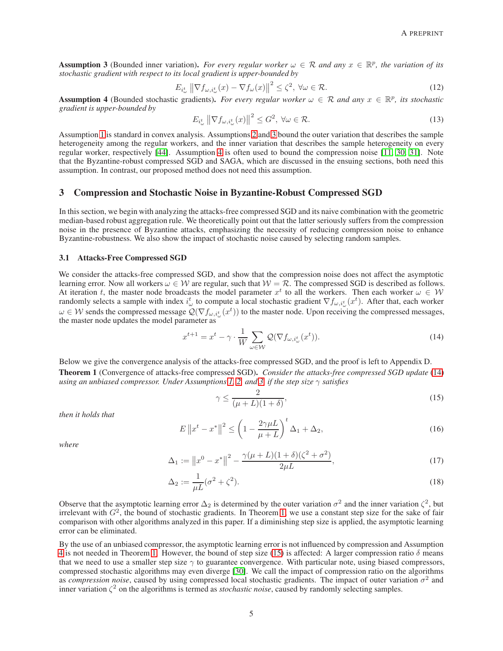<span id="page-4-0"></span>Assumption 3 (Bounded inner variation). *For every regular worker*  $\omega \in \mathcal{R}$  and any  $x \in \mathbb{R}^p$ , the variation of its *stochastic gradient with respect to its local gradient is upper-bounded by*

$$
E_{i^t_{\omega}} \left\| \nabla f_{\omega, i^t_{\omega}}(x) - \nabla f_{\omega}(x) \right\|^2 \le \zeta^2, \ \forall \omega \in \mathcal{R}.
$$
 (12)

<span id="page-4-1"></span>**Assumption 4** (Bounded stochastic gradients). *For every regular worker*  $\omega \in \mathcal{R}$  *and any*  $x \in \mathbb{R}^p$ , *its stochastic*  $\omega$  is stochastic gradients). *For every regular worker*  $\omega \in \mathcal{R}$  *and any*  $x \in \mathbb{R}$ *gradient is upper-bounded by*

$$
E_{i_{\omega}^{t}} \left\| \nabla f_{\omega, i_{\omega}^{t}}(x) \right\|^{2} \leq G^{2}, \ \forall \omega \in \mathcal{R}.
$$
\n(13)

Assumption [1](#page-3-0) is standard in convex analysis. Assumptions [2](#page-3-1) and [3](#page-4-0) bound the outer variation that describes the sample heterogeneity among the regular workers, and the inner variation that describes the sample heterogeneity on every regular worker, respectively [\[44\]](#page-14-18). Assumption [4](#page-4-1) is often used to bound the compression noise [\[11,](#page-13-7) [30,](#page-14-4) [31\]](#page-14-5). Note that the Byzantine-robust compressed SGD and SAGA, which are discussed in the ensuing sections, both need this assumption. In contrast, our proposed method does not need this assumption.

## 3 Compression and Stochastic Noise in Byzantine-Robust Compressed SGD

In this section, we begin with analyzing the attacks-free compressed SGD and its naive combination with the geometric median-based robust aggregation rule. We theoretically point out that the latter seriously suffers from the compression noise in the presence of Byzantine attacks, emphasizing the necessity of reducing compression noise to enhance Byzantine-robustness. We also show the impact of stochastic noise caused by selecting random samples.

#### 3.1 Attacks-Free Compressed SGD

We consider the attacks-free compressed SGD, and show that the compression noise does not affect the asymptotic learning error. Now all workers  $\omega \in \mathcal{W}$  are regular, such that  $\mathcal{W} = \mathcal{R}$ . The compressed SGD is described as follows. At iteration t, the master node broadcasts the model parameter  $x^t$  to all the workers. Then each worker  $\omega \in W$ randomly selects a sample with index  $i_{\omega}^t$  to compute a local stochastic gradient  $\nabla f_{\omega,i_{\omega}^t}(x^t)$ . After that, each worker  $\omega \in W$  sends the compressed message  $\mathcal{Q}(\nabla f_{\omega,i^t_{\omega}}(x^t))$  to the master node. Upon receiving the compressed messages, the master node updates the model parameter as

<span id="page-4-2"></span>
$$
x^{t+1} = x^t - \gamma \cdot \frac{1}{W} \sum_{\omega \in \mathcal{W}} \mathcal{Q}(\nabla f_{\omega, i_{\omega}^t}(x^t)).
$$
\n(14)

<span id="page-4-3"></span>Below we give the convergence analysis of the attacks-free compressed SGD, and the proof is left to Appendix D. Theorem 1 (Convergence of attacks-free compressed SGD). *Consider the attacks-free compressed SGD update* [\(14\)](#page-4-2) *using an unbiased compressor. Under Assumptions [1,](#page-3-0) [2,](#page-3-1) and [3,](#page-4-0) if the step size* γ *satisfies*

<span id="page-4-4"></span>
$$
\gamma \le \frac{2}{(\mu + L)(1 + \delta)},\tag{15}
$$

*then it holds that*

$$
E\left\|x^{t}-x^{*}\right\|^{2} \leq \left(1-\frac{2\gamma\mu L}{\mu+L}\right)^{t} \Delta_{1} + \Delta_{2},\tag{16}
$$

*where*

$$
\Delta_1 := \|x^0 - x^*\|^2 - \frac{\gamma(\mu + L)(1 + \delta)(\zeta^2 + \sigma^2)}{2\mu L},\tag{17}
$$

$$
\Delta_2 := \frac{1}{\mu L} (\sigma^2 + \zeta^2). \tag{18}
$$

Observe that the asymptotic learning error  $\Delta_2$  is determined by the outer variation  $\sigma^2$  and the inner variation  $\zeta^2$ , but irrelevant with  $G<sup>2</sup>$ , the bound of stochastic gradients. In Theorem [1,](#page-4-3) we use a constant step size for the sake of fair comparison with other algorithms analyzed in this paper. If a diminishing step size is applied, the asymptotic learning error can be eliminated.

By the use of an unbiased compressor, the asymptotic learning error is not influenced by compression and Assumption [4](#page-4-1) is not needed in Theorem [1.](#page-4-3) However, the bound of step size [\(15\)](#page-4-4) is affected: A larger compression ratio  $\delta$  means that we need to use a smaller step size  $\gamma$  to guarantee convergence. With particular note, using biased compressors, compressed stochastic algorithms may even diverge [\[30\]](#page-14-4). We call the impact of compression ratio on the algorithms as *compression noise*, caused by using compressed local stochastic gradients. The impact of outer variation  $\sigma^2$  and inner variation  $\zeta^2$  on the algorithms is termed as *stochastic noise*, caused by randomly selecting samples.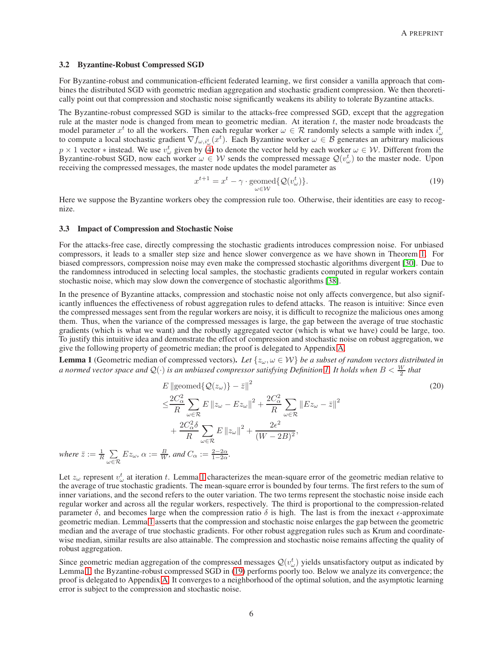#### 3.2 Byzantine-Robust Compressed SGD

For Byzantine-robust and communication-efficient federated learning, we first consider a vanilla approach that combines the distributed SGD with geometric median aggregation and stochastic gradient compression. We then theoretically point out that compression and stochastic noise significantly weakens its ability to tolerate Byzantine attacks.

The Byzantine-robust compressed SGD is similar to the attacks-free compressed SGD, except that the aggregation rule at the master node is changed from mean to geometric median. At iteration  $t$ , the master node broadcasts the model parameter  $x^t$  to all the workers. Then each regular worker  $\omega \in \mathcal{R}$  randomly selects a sample with index  $i^t_{\omega}$ to compute a local stochastic gradient  $\nabla f_{\omega,i_\omega^t}(x^t)$ . Each Byzantine worker  $\omega \in \mathcal{B}$  generates an arbitrary malicious  $p \times 1$  vector \* instead. We use  $v^t_{\omega}$  given by [\(4\)](#page-2-2) to denote the vector held by each worker  $\omega \in \mathcal{W}$ . Different from the Byzantine-robust SGD, now each worker  $\omega \in W$  sends the compressed message  $\mathcal{Q}(v_{\omega}^t)$  to the master node. Upon receiving the compressed messages, the master node updates the model parameter as

<span id="page-5-1"></span>
$$
x^{t+1} = x^t - \gamma \cdot \text{geomed}\{Q(v^t_\omega)\}.
$$
\n<sup>(19)</sup>

Here we suppose the Byzantine workers obey the compression rule too. Otherwise, their identities are easy to recognize.

## 3.3 Impact of Compression and Stochastic Noise

where  $\bar{z} := \frac{1}{R} \sum$ 

ω∈R

For the attacks-free case, directly compressing the stochastic gradients introduces compression noise. For unbiased compressors, it leads to a smaller step size and hence slower convergence as we have shown in Theorem [1.](#page-4-3) For biased compressors, compression noise may even make the compressed stochastic algorithms divergent [\[30\]](#page-14-4). Due to the randomness introduced in selecting local samples, the stochastic gradients computed in regular workers contain stochastic noise, which may slow down the convergence of stochastic algorithms [\[38\]](#page-14-12).

In the presence of Byzantine attacks, compression and stochastic noise not only affects convergence, but also significantly influences the effectiveness of robust aggregation rules to defend attacks. The reason is intuitive: Since even the compressed messages sent from the regular workers are noisy, it is difficult to recognize the malicious ones among them. Thus, when the variance of the compressed messages is large, the gap between the average of true stochastic gradients (which is what we want) and the robustly aggregated vector (which is what we have) could be large, too. To justify this intuitive idea and demonstrate the effect of compression and stochastic noise on robust aggregation, we give the following property of geometric median; the proof is delegated to Appendix [A.](#page-14-19)

<span id="page-5-0"></span>**Lemma 1** (Geometric median of compressed vectors). Let  $\{z_\omega, \omega \in \mathcal{W}\}\$ be a subset of random vectors distributed in *a normed vector space and*  $\mathcal{Q}(\cdot)$  *is an unbiased compressor satisfying Definition [1.](#page-3-2) It holds when*  $B<\frac{W}{2}$  *that* 

<span id="page-5-2"></span>
$$
E \parallel \text{geomed}\{\mathcal{Q}(z_{\omega})\} - \bar{z}\|^{2}
$$
\n
$$
\leq \frac{2C_{\alpha}^{2}}{R} \sum_{\omega \in \mathcal{R}} E \parallel z_{\omega} - Ez_{\omega} \parallel^{2} + \frac{2C_{\alpha}^{2}}{R} \sum_{\omega \in \mathcal{R}} \parallel Ez_{\omega} - \bar{z}\|^{2}
$$
\n
$$
+ \frac{2C_{\alpha}^{2}\delta}{R} \sum_{\omega \in \mathcal{R}} E \parallel z_{\omega} \parallel^{2} + \frac{2\epsilon^{2}}{(W - 2B)^{2}},
$$
\n
$$
Ez_{\omega}, \alpha := \frac{B}{W}, \text{ and } C_{\alpha} := \frac{2 - 2\alpha}{1 - 2\alpha}.
$$
\n(20)

Let  $z_\omega$  represent  $v_\omega^t$  at iteration t. Lemma [1](#page-5-0) characterizes the mean-square error of the geometric median relative to the average of true stochastic gradients. The mean-square error is bounded by four terms. The first refers to the sum of inner variations, and the second refers to the outer variation. The two terms represent the stochastic noise inside each regular worker and across all the regular workers, respectively. The third is proportional to the compression-related parameter  $\delta$ , and becomes large when the compression ratio  $\delta$  is high. The last is from the inexact  $\epsilon$ -approximate geometric median. Lemma [1](#page-5-0) asserts that the compression and stochastic noise enlarges the gap between the geometric median and the average of true stochastic gradients. For other robust aggregation rules such as Krum and coordinatewise median, similar results are also attainable. The compression and stochastic noise remains affecting the quality of robust aggregation.

Since geometric median aggregation of the compressed messages  $\mathcal{Q}(v_\omega^t)$  yields unsatisfactory output as indicated by Lemma [1,](#page-5-0) the Byzantine-robust compressed SGD in [\(19\)](#page-5-1) performs poorly too. Below we analyze its convergence; the proof is delegated to Appendix [A.](#page-14-19) It converges to a neighborhood of the optimal solution, and the asymptotic learning error is subject to the compression and stochastic noise.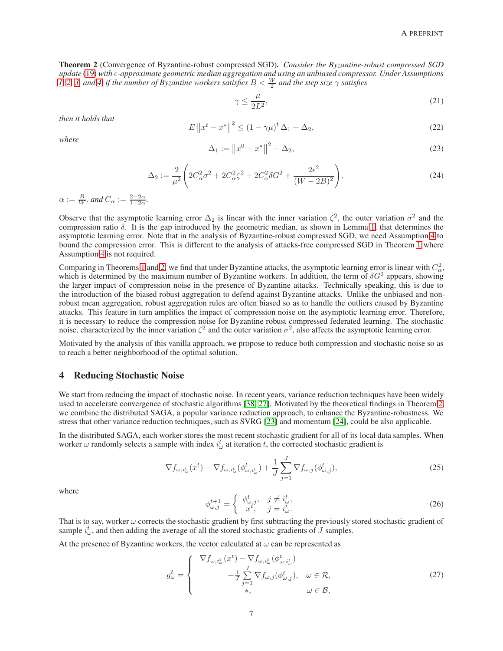<span id="page-6-0"></span>Theorem 2 (Convergence of Byzantine-robust compressed SGD). *Consider the Byzantine-robust compressed SGD update* [\(19\)](#page-5-1) with  $\epsilon$ -approximate geometric median aggregation and using an unbiased compressor. Under Assumptions *1*, [2,](#page-3-1) [3,](#page-4-0) and [4,](#page-4-1) if the number of Byzantine workers satisfies  $B < \frac{W}{2}$  and the step size  $\gamma$  satisfies

<span id="page-6-1"></span>
$$
\gamma \le \frac{\mu}{2L^2},\tag{21}
$$

*then it holds that*

$$
E \|x^{t} - x^{*}\|^{2} \le (1 - \gamma \mu)^{t} \Delta_{1} + \Delta_{2},
$$
\n(22)

*where*

$$
\Delta_1 := \|x^0 - x^*\|^2 - \Delta_2,\tag{23}
$$

$$
\Delta_2 := \frac{2}{\mu^2} \left( 2C_\alpha^2 \sigma^2 + 2C_\alpha^2 \zeta^2 + 2C_\alpha^2 \delta G^2 + \frac{2\epsilon^2}{(W - 2B)^2} \right),\tag{24}
$$

 $\alpha := \frac{B}{W}$ *, and*  $C_{\alpha} := \frac{2-2\alpha}{1-2\alpha}$ *.* 

Observe that the asymptotic learning error  $\Delta_2$  is linear with the inner variation  $\zeta^2$ , the outer variation  $\sigma^2$  and the compression ratio  $\delta$ . It is the gap introduced by the geometric median, as shown in Lemma [1,](#page-5-0) that determines the asymptotic learning error. Note that in the analysis of Byzantine-robust compressed SGD, we need Assumption [4](#page-4-1) to bound the compression error. This is different to the analysis of attacks-free compressed SGD in Theorem [1](#page-4-3) where Assumption [4](#page-4-1) is not required.

Comparing in Theorems [1](#page-4-3) and [2,](#page-6-0) we find that under Byzantine attacks, the asymptotic learning error is linear with  $C^2_{\alpha}$ , which is determined by the maximum number of Byzantine workers. In addition, the term of  $\delta G^2$  appears, showing the larger impact of compression noise in the presence of Byzantine attacks. Technically speaking, this is due to the introduction of the biased robust aggregation to defend against Byzantine attacks. Unlike the unbiased and nonrobust mean aggregation, robust aggregation rules are often biased so as to handle the outliers caused by Byzantine attacks. This feature in turn amplifies the impact of compression noise on the asymptotic learning error. Therefore, it is necessary to reduce the compression noise for Byzantine robust compressed federated learning. The stochastic noise, characterized by the inner variation  $\zeta^2$  and the outer variation  $\sigma^2$ , also affects the asymptotic learning error.

Motivated by the analysis of this vanilla approach, we propose to reduce both compression and stochastic noise so as to reach a better neighborhood of the optimal solution.

## <span id="page-6-3"></span>4 Reducing Stochastic Noise

We start from reducing the impact of stochastic noise. In recent years, variance reduction techniques have been widely used to accelerate convergence of stochastic algorithms [\[38,](#page-14-12) [27\]](#page-14-1). Motivated by the theoretical findings in Theorem [2,](#page-6-0) we combine the distributed SAGA, a popular variance reduction approach, to enhance the Byzantine-robustness. We stress that other variance reduction techniques, such as SVRG [\[23\]](#page-13-19) and momentum [\[24\]](#page-13-20), could be also applicable.

In the distributed SAGA, each worker stores the most recent stochastic gradient for all of its local data samples. When worker  $\omega$  randomly selects a sample with index  $i_{\omega}^t$  at iteration t, the corrected stochastic gradient is

$$
\nabla f_{\omega,i_{\omega}^{t}}(x^{t}) - \nabla f_{\omega,i_{\omega}^{t}}(\phi_{\omega,i_{\omega}^{t}}^{t}) + \frac{1}{J} \sum_{j=1}^{J} \nabla f_{\omega,j}(\phi_{\omega,j}^{t}), \qquad (25)
$$

<span id="page-6-4"></span>where

<span id="page-6-2"></span>
$$
\phi_{\omega,j}^{t+1} = \begin{cases} \phi_{\omega,j}^t, & j \neq i_{\omega}^t, \\ x^t, & j = i_{\omega}^t. \end{cases}
$$
\n(26)

That is to say, worker  $\omega$  corrects the stochastic gradient by first subtracting the previously stored stochastic gradient of sample  $i_{\omega}^t$ , and then adding the average of all the stored stochastic gradients of J samples.

At the presence of Byzantine workers, the vector calculated at  $\omega$  can be represented as

$$
g_{\omega}^{t} = \begin{cases} \nabla f_{\omega,i_{\omega}^{t}}(x^{t}) - \nabla f_{\omega,i_{\omega}^{t}}(\phi_{\omega,i_{\omega}^{t}}^{t}) \\ \nabla f_{\omega,j}(\phi_{\omega,j}^{t}), & \omega \in \mathcal{R}, \\ \nabla f_{\omega,j}(\phi_{\omega,j}^{t}), & \omega \in \mathcal{B}, \n\end{cases}
$$
\n
$$
(27)
$$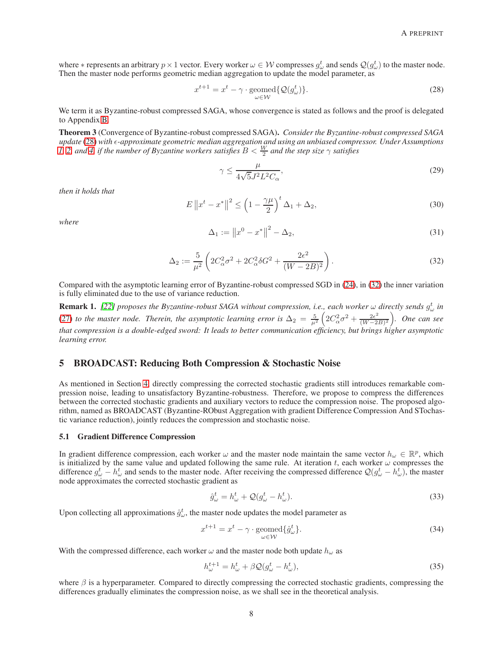where  $*$  represents an arbitrary  $p \times 1$  vector. Every worker  $\omega \in \mathcal{W}$  compresses  $g^t_{\omega}$  and sends  $\mathcal{Q}(g^t_{\omega})$  to the master node. Then the master node performs geometric median aggregation to update the model parameter, as

<span id="page-7-0"></span>
$$
x^{t+1} = x^t - \gamma \cdot \text{geomed}\{Q(g^t_\omega)\}.
$$
\n<sup>(28)</sup>

We term it as Byzantine-robust compressed SAGA, whose convergence is stated as follows and the proof is delegated to Appendix [B.](#page-17-0)

<span id="page-7-3"></span>Theorem 3 (Convergence of Byzantine-robust compressed SAGA). *Consider the Byzantine-robust compressed SAGA update* [\(28\)](#page-7-0) with  $\epsilon$ -approximate geometric median aggregation and using an unbiased compressor. Under Assumptions *1*, [2,](#page-3-1) and [4,](#page-4-1) if the number of Byzantine workers satisfies  $B < \frac{W}{2}$  and the step size  $\gamma$  satisfies

$$
\gamma \le \frac{\mu}{4\sqrt{5}J^2L^2C_\alpha},\tag{29}
$$

*then it holds that*

$$
E\left\|x^{t}-x^{*}\right\|^{2} \leq \left(1-\frac{\gamma\mu}{2}\right)^{t} \Delta_{1} + \Delta_{2},\tag{30}
$$

<span id="page-7-1"></span>*where*

$$
\Delta_1 := \|x^0 - x^*\|^2 - \Delta_2,\tag{31}
$$

$$
\Delta_2 := \frac{5}{\mu^2} \left( 2C_\alpha^2 \sigma^2 + 2C_\alpha^2 \delta G^2 + \frac{2\epsilon^2}{(W - 2B)^2} \right).
$$
 (32)

Compared with the asymptotic learning error of Byzantine-robust compressed SGD in [\(24\)](#page-6-1), in [\(32\)](#page-7-1) the inner variation is fully eliminated due to the use of variance reduction.

**Remark 1.** [\[22\]](#page-13-18) proposes the Byzantine-robust SAGA without compression, i.e., each worker  $\omega$  directly sends  $g^t_\omega$  in [\(27\)](#page-6-2) to the master node. Therein, the asymptotic learning error is  $\Delta_2 = \frac{5}{\mu^2} \left( 2C_\alpha^2 \sigma^2 + \frac{2\epsilon^2}{(W-2)^2} \right)$ (W−2B) 2 *. One can see that compression is a double-edged sword: It leads to better communication efficiency, but brings higher asymptotic learning error.*

## 5 BROADCAST: Reducing Both Compression & Stochastic Noise

As mentioned in Section [4,](#page-6-3) directly compressing the corrected stochastic gradients still introduces remarkable compression noise, leading to unsatisfactory Byzantine-robustness. Therefore, we propose to compress the differences between the corrected stochastic gradients and auxiliary vectors to reduce the compression noise. The proposed algorithm, named as BROADCAST (Byzantine-RObust Aggregation with gradient Difference Compression And STochastic variance reduction), jointly reduces the compression and stochastic noise.

#### 5.1 Gradient Difference Compression

In gradient difference compression, each worker  $\omega$  and the master node maintain the same vector  $h_{\omega} \in \mathbb{R}^p$ , which is initialized by the same value and updated following the same rule. At iteration t, each worker  $\omega$  compresses the difference  $g^t_\omega - h^t_\omega$  and sends to the master node. After receiving the compressed difference  $\mathcal{Q}(g^t_\omega - h^t_\omega)$ , the master node approximates the corrected stochastic gradient as

<span id="page-7-2"></span>
$$
\hat{g}^t_\omega = h^t_\omega + \mathcal{Q}(g^t_\omega - h^t_\omega). \tag{33}
$$

Upon collecting all approximations  $\hat{g}^t_\omega$ , the master node updates the model parameter as

$$
x^{t+1} = x^t - \gamma \cdot \underset{\omega \in \mathcal{W}}{\text{geomed}} \{ \hat{g}_{\omega}^t \}. \tag{34}
$$

With the compressed difference, each worker  $\omega$  and the master node both update  $h_{\omega}$  as

$$
h_{\omega}^{t+1} = h_{\omega}^t + \beta \mathcal{Q}(g_{\omega}^t - h_{\omega}^t),\tag{35}
$$

where  $\beta$  is a hyperparameter. Compared to directly compressing the corrected stochastic gradients, compressing the differences gradually eliminates the compression noise, as we shall see in the theoretical analysis.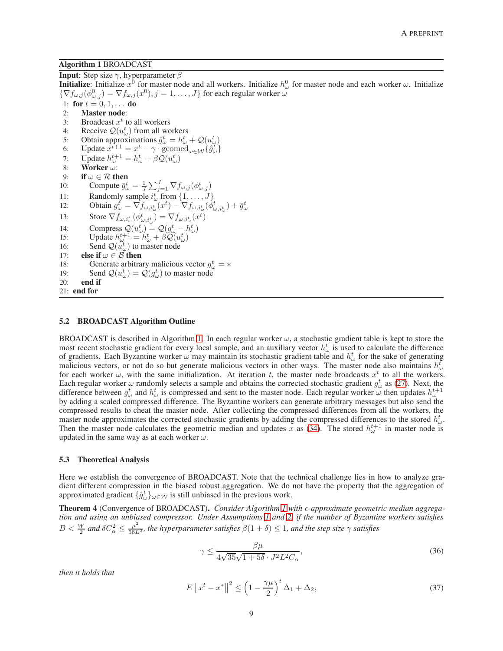#### <span id="page-8-0"></span>Algorithm 1 BROADCAST

**Input:** Step size  $\gamma$ , hyperparameter  $\beta$ 

**Initialize**: Initialize  $x^0$  for master node and all workers. Initialize  $h^0_\omega$  for master node and each worker  $\omega$ . Initialize  $\{\nabla f_{\omega,j}(\phi_{\omega,j}^0)=\nabla f_{\omega,j}(x^0), j=1,\ldots,J\}$  for each regular worker  $\omega$ 1: for  $t = 0, 1, ...$  do 2: Master node: 3: Broadcast  $x^t$  to all workers 4: Receive  $\mathcal{Q}(u_{\omega}^t)$  from all workers 5: Obtain approximations  $\hat{g}^t_\omega = h^t_\omega + \mathcal{Q}(u^t_\omega)$ 6: Update  $x^{t+1} = x^t - \gamma \cdot \text{geomed}_{\omega \in \mathcal{W}} \{ \hat{g}_{\omega}^t \}$ 7: Update  $h_{\omega}^{t+1} = h_{\omega}^t + \beta \mathcal{Q}(u_{\omega}^t)$ 8: Worker  $\omega$ : 9: **if**  $\omega \in \mathcal{R}$  **then**<br>10: **Compute**  $\bar{q}_{\omega}^t$ 10: Compute  $\bar{g}^t_{\omega} = \frac{1}{J} \sum_{j=1}^J \nabla f_{\omega,j}(\phi^t_{\omega,j})$ 11: Randomly sample  $i_{\omega}^t$  from  $\{1, ..., J\}$ <br>12: Obtain  $g_{\omega}^t = \nabla f_{\omega, i_{\omega}^t}(x^t) - \nabla f_{\omega, i_{\omega}^t}(\phi_{\omega, i_{\omega}^t}^t) + \bar{g}_{\omega}^t$ 13: Store  $\nabla f_{\omega,i_{\omega}^t}(\phi_{\omega,i_{\omega}^t}^t) = \nabla f_{\omega,i_{\omega}^t}(x^t)$ 14: Compress  $\mathcal{Q}(u^t_\omega) = \mathcal{Q}(g^t_\omega - h^t_\omega)$ 15: Update  $h_{\omega}^{t+1} = h_{\omega}^t + \beta \mathcal{Q}(u_{\omega}^t)$ 16: Send  $\mathcal{Q}(\tilde{u}^t_\omega)$  to master node 17: **else if**  $\omega \in \mathcal{B}$  **then**<br>18: **Generate arbitra** 18: Generate arbitrary malicious vector  $g^t_\omega = *$ 19: Send  $\mathcal{Q}(u^t_\omega) = \mathcal{Q}(g^t_\omega)$  to master node 20: end if 21: end for

## 5.2 BROADCAST Algorithm Outline

BROADCAST is described in Algorithm [1.](#page-8-0) In each regular worker  $\omega$ , a stochastic gradient table is kept to store the most recent stochastic gradient for every local sample, and an auxiliary vector  $h^t_\omega$  is used to calculate the difference of gradients. Each Byzantine worker  $\omega$  may maintain its stochastic gradient table and  $h^t_\omega$  for the sake of generating malicious vectors, or not do so but generate malicious vectors in other ways. The master node also maintains  $h^{\bar{t}}_{\omega}$ for each worker  $\omega$ , with the same initialization. At iteration t, the master node broadcasts  $x^t$  to all the workers. Each regular worker  $\omega$  randomly selects a sample and obtains the corrected stochastic gradient  $g^t_\omega$  as [\(27\)](#page-6-2). Next, the difference between  $g^t_\omega$  and  $h^t_\omega$  is compressed and sent to the master node. Each regular worker  $\omega$  then updates  $h^{t+1}_\omega$ by adding a scaled compressed difference. The Byzantine workers can generate arbitrary messages but also send the compressed results to cheat the master node. After collecting the compressed differences from all the workers, the master node approximates the corrected stochastic gradients by adding the compressed differences to the stored  $h^t_{\omega}$ . Then the master node calculates the geometric median and updates x as [\(34\)](#page-7-2). The stored  $h_{\omega}^{t+1}$  in master node is updated in the same way as at each worker  $\omega$ .

## 5.3 Theoretical Analysis

Here we establish the convergence of BROADCAST. Note that the technical challenge lies in how to analyze gradient different compression in the biased robust aggregation. We do not have the property that the aggregation of approximated gradient  $\{\hat{g}^t_\omega\}_{\omega \in \mathcal{W}}$  is still unbiased in the previous work.

<span id="page-8-1"></span>Theorem 4 (Convergence of BROADCAST). *Consider Algorithm [1](#page-8-0) with*  $\epsilon$ *-approximate geometric median aggregation and using an unbiased compressor. Under Assumptions [1](#page-3-0) and [2,](#page-3-1) if the number of Byzantine workers satisfies* 2  $B<\frac{W}{2}$  and  $\delta C_\alpha^2\leq \frac{\mu^2}{56L^2}$ , the hyperparameter satisfies  $\beta(1+\delta)\leq 1$ , and the step size  $\gamma$  satisfies

$$
\gamma \le \frac{\beta \mu}{4\sqrt{35}\sqrt{1+5\delta} \cdot J^2 L^2 C_\alpha},\tag{36}
$$

*then it holds that*

$$
E\left\|x^{t}-x^{*}\right\|^{2} \leq \left(1-\frac{\gamma\mu}{2}\right)^{t} \Delta_{1} + \Delta_{2},\tag{37}
$$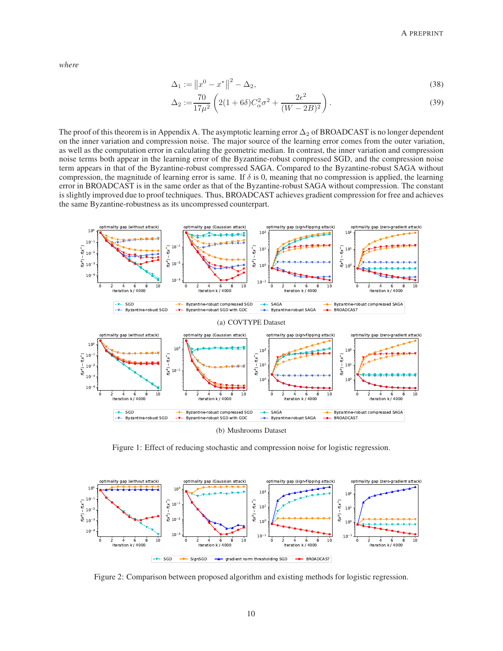*where*

$$
\Delta_1 := ||x^0 - x^*||^2 - \Delta_2,\tag{38}
$$

$$
\Delta_2 := \frac{70}{17\mu^2} \left( 2(1+6\delta)C_\alpha^2 \sigma^2 + \frac{2\epsilon^2}{(W-2B)^2} \right). \tag{39}
$$

The proof of this theorem is in Appendix A. The asymptotic learning error  $\Delta_2$  of BROADCAST is no longer dependent on the inner variation and compression noise. The major source of the learning error comes from the outer variation, as well as the computation error in calculating the geometric median. In contrast, the inner variation and compression noise terms both appear in the learning error of the Byzantine-robust compressed SGD, and the compression noise term appears in that of the Byzantine-robust compressed SAGA. Compared to the Byzantine-robust SAGA without compression, the magnitude of learning error is same. If  $\delta$  is 0, meaning that no compression is applied, the learning error in BROADCAST is in the same order as that of the Byzantine-robust SAGA without compression. The constant is slightly improved due to proof techniques. Thus, BROADCAST achieves gradient compression for free and achieves the same Byzantine-robustness as its uncompressed counterpart.



(b) Mushrooms Dataset

<span id="page-9-0"></span>Figure 1: Effect of reducing stochastic and compression noise for logistic regression.



<span id="page-9-1"></span>Figure 2: Comparison between proposed algorithm and existing methods for logistic regression.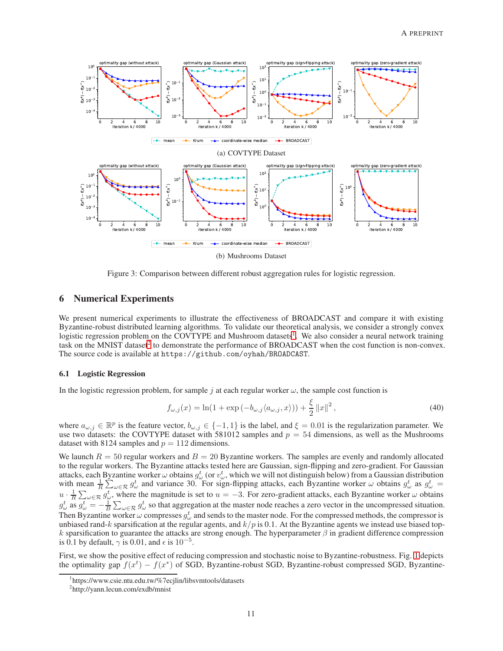

<span id="page-10-2"></span>Figure 3: Comparison between different robust aggregation rules for logistic regression.

## 6 Numerical Experiments

We present numerical experiments to illustrate the effectiveness of BROADCAST and compare it with existing Byzantine-robust distributed learning algorithms. To validate our theoretical analysis, we consider a strongly convex logistic regression problem on the COVTYPE and Mushroom datasets<sup>[1](#page-10-0)</sup>. We also consider a neural network training task on the MNIST dataset<sup>[2](#page-10-1)</sup> to demonstrate the performance of BROADCAST when the cost function is non-convex. The source code is available at https://github.com/oyhah/BROADCAST.

#### 6.1 Logistic Regression

In the logistic regression problem, for sample j at each regular worker  $\omega$ , the sample cost function is

$$
f_{\omega,j}(x) = \ln(1 + \exp(-b_{\omega,j}\langle a_{\omega,j}, x \rangle)) + \frac{\xi}{2} ||x||^2,
$$
\n(40)

where  $a_{\omega,j} \in \mathbb{R}^p$  is the feature vector,  $b_{\omega,j} \in \{-1,1\}$  is the label, and  $\xi = 0.01$  is the regularization parameter. We use two datasets: the COVTYPE dataset with 581012 samples and  $p = 54$  dimensions, as well as the Mushrooms dataset with 8124 samples and  $p = 112$  dimensions.

We launch  $R = 50$  regular workers and  $B = 20$  Byzantine workers. The samples are evenly and randomly allocated to the regular workers. The Byzantine attacks tested here are Gaussian, sign-flipping and zero-gradient. For Gaussian attacks, each Byzantine worker  $\omega$  obtains  $g^t_\omega$  (or  $v^t_\omega$ , which we will not distinguish below) from a Gaussian distribution with mean  $\frac{1}{R} \sum_{\omega \in \mathcal{R}} g_{\omega}^t$  and variance 30. For sign-flipping attacks, each Byzantine worker  $\omega$  obtains  $g_{\omega}^t$  as  $g_{\omega}^t =$  $u \cdot \frac{1}{R} \sum_{\omega \in \mathcal{R}} g_{\omega}^t$ , where the magnitude is set to  $u = -3$ . For zero-gradient attacks, each Byzantine worker  $\omega$  obtains  $g_\omega^t$  as  $g_\omega^t = -\frac{1}{B} \sum_{\omega \in \mathcal{R}} g_\omega^t$  so that aggregation at the master node reaches a zero vector in the uncompressed situation. Then Byzantine worker  $\omega$  compresses  $g^t_\omega$  and sends to the master node. For the compressed methods, the compressor is unbiased rand-k sparsification at the regular agents, and  $k/p$  is 0.1. At the Byzantine agents we instead use biased topk sparsification to guarantee the attacks are strong enough. The hyperparameter  $\beta$  in gradient difference compression is 0.1 by default,  $\gamma$  is 0.01, and  $\epsilon$  is 10<sup>-5</sup>.

First, we show the positive effect of reducing compression and stochastic noise to Byzantine-robustness. Fig. [1](#page-9-0) depicts the optimality gap  $f(x^t) - f(x^*)$  of SGD, Byzantine-robust SGD, Byzantine-robust compressed SGD, Byzantine-

<sup>1</sup> https://www.csie.ntu.edu.tw/%7ecjlin/libsvmtools/datasets

<span id="page-10-1"></span><span id="page-10-0"></span><sup>2</sup> http://yann.lecun.com/exdb/mnist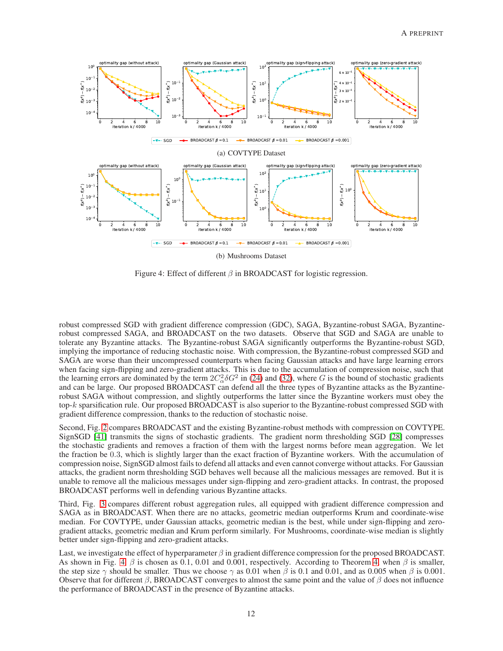

<span id="page-11-0"></span>Figure 4: Effect of different  $\beta$  in BROADCAST for logistic regression.

robust compressed SGD with gradient difference compression (GDC), SAGA, Byzantine-robust SAGA, Byzantinerobust compressed SAGA, and BROADCAST on the two datasets. Observe that SGD and SAGA are unable to tolerate any Byzantine attacks. The Byzantine-robust SAGA significantly outperforms the Byzantine-robust SGD, implying the importance of reducing stochastic noise. With compression, the Byzantine-robust compressed SGD and SAGA are worse than their uncompressed counterparts when facing Gaussian attacks and have large learning errors when facing sign-flipping and zero-gradient attacks. This is due to the accumulation of compression noise, such that the learning errors are dominated by the term  $2C_{\alpha}^2 \delta G^2$  in [\(24\)](#page-6-1) and [\(32\)](#page-7-1), where G is the bound of stochastic gradients and can be large. Our proposed BROADCAST can defend all the three types of Byzantine attacks as the Byzantinerobust SAGA without compression, and slightly outperforms the latter since the Byzantine workers must obey the top-k sparsification rule. Our proposed BROADCAST is also superior to the Byzantine-robust compressed SGD with gradient difference compression, thanks to the reduction of stochastic noise.

Second, Fig. [2](#page-9-1) compares BROADCAST and the existing Byzantine-robust methods with compression on COVTYPE. SignSGD [\[41\]](#page-14-15) transmits the signs of stochastic gradients. The gradient norm thresholding SGD [\[28\]](#page-14-2) compresses the stochastic gradients and removes a fraction of them with the largest norms before mean aggregation. We let the fraction be 0.3, which is slightly larger than the exact fraction of Byzantine workers. With the accumulation of compression noise, SignSGD almost fails to defend all attacks and even cannot converge without attacks. For Gaussian attacks, the gradient norm thresholding SGD behaves well because all the malicious messages are removed. But it is unable to remove all the malicious messages under sign-flipping and zero-gradient attacks. In contrast, the proposed BROADCAST performs well in defending various Byzantine attacks.

Third, Fig. [3](#page-10-2) compares different robust aggregation rules, all equipped with gradient difference compression and SAGA as in BROADCAST. When there are no attacks, geometric median outperforms Krum and coordinate-wise median. For COVTYPE, under Gaussian attacks, geometric median is the best, while under sign-flipping and zerogradient attacks, geometric median and Krum perform similarly. For Mushrooms, coordinate-wise median is slightly better under sign-flipping and zero-gradient attacks.

Last, we investigate the effect of hyperparameter  $\beta$  in gradient difference compression for the proposed BROADCAST. As shown in Fig. [4,](#page-8-1)  $\beta$  is chosen as 0.1, 0.01 and 0.001, respectively. According to Theorem 4, when  $\beta$  is smaller, the step size  $\gamma$  should be smaller. Thus we choose  $\gamma$  as 0.01 when  $\beta$  is 0.1 and 0.01, and as 0.005 when  $\beta$  is 0.001. Observe that for different  $\beta$ , BROADCAST converges to almost the same point and the value of  $\beta$  does not influence the performance of BROADCAST in the presence of Byzantine attacks.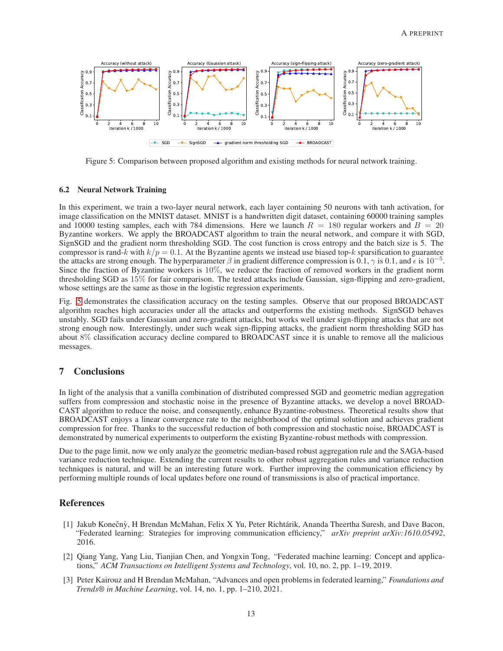

<span id="page-12-3"></span>Figure 5: Comparison between proposed algorithm and existing methods for neural network training.

## 6.2 Neural Network Training

In this experiment, we train a two-layer neural network, each layer containing 50 neurons with tanh activation, for image classification on the MNIST dataset. MNIST is a handwritten digit dataset, containing 60000 training samples and 10000 testing samples, each with 784 dimensions. Here we launch  $R = 180$  regular workers and  $B = 20$ Byzantine workers. We apply the BROADCAST algorithm to train the neural network, and compare it with SGD, SignSGD and the gradient norm thresholding SGD. The cost function is cross entropy and the batch size is 5. The compressor is rand-k with  $k/p = 0.1$ . At the Byzantine agents we instead use biased top-k sparsification to guarantee the attacks are strong enough. The hyperparameter  $\beta$  in gradient difference compression is 0.1,  $\gamma$  is 0.1, and  $\epsilon$  is 10<sup>-5</sup>. Since the fraction of Byzantine workers is 10%, we reduce the fraction of removed workers in the gradient norm thresholding SGD as 15% for fair comparison. The tested attacks include Gaussian, sign-flipping and zero-gradient, whose settings are the same as those in the logistic regression experiments.

Fig. [5](#page-12-3) demonstrates the classification accuracy on the testing samples. Observe that our proposed BROADCAST algorithm reaches high accuracies under all the attacks and outperforms the existing methods. SignSGD behaves unstably. SGD fails under Gaussian and zero-gradient attacks, but works well under sign-flipping attacks that are not strong enough now. Interestingly, under such weak sign-flipping attacks, the gradient norm thresholding SGD has about 8% classification accuracy decline compared to BROADCAST since it is unable to remove all the malicious messages.

# 7 Conclusions

In light of the analysis that a vanilla combination of distributed compressed SGD and geometric median aggregation suffers from compression and stochastic noise in the presence of Byzantine attacks, we develop a novel BROAD-CAST algorithm to reduce the noise, and consequently, enhance Byzantine-robustness. Theoretical results show that BROADCAST enjoys a linear convergence rate to the neighborhood of the optimal solution and achieves gradient compression for free. Thanks to the successful reduction of both compression and stochastic noise, BROADCAST is demonstrated by numerical experiments to outperform the existing Byzantine-robust methods with compression.

Due to the page limit, now we only analyze the geometric median-based robust aggregation rule and the SAGA-based variance reduction technique. Extending the current results to other robust aggregation rules and variance reduction techniques is natural, and will be an interesting future work. Further improving the communication efficiency by performing multiple rounds of local updates before one round of transmissions is also of practical importance.

## <span id="page-12-0"></span>References

- [1] Jakub Konečnỳ, H Brendan McMahan, Felix X Yu, Peter Richtárik, Ananda Theertha Suresh, and Dave Bacon, "Federated learning: Strategies for improving communication efficiency," *arXiv preprint arXiv:1610.05492*, 2016.
- <span id="page-12-1"></span>[2] Qiang Yang, Yang Liu, Tianjian Chen, and Yongxin Tong, "Federated machine learning: Concept and applications," *ACM Transactions on Intelligent Systems and Technology*, vol. 10, no. 2, pp. 1–19, 2019.
- <span id="page-12-2"></span>[3] Peter Kairouz and H Brendan McMahan, "Advances and open problems in federated learning," *Foundations and Trends® in Machine Learning*, vol. 14, no. 1, pp. 1–210, 2021.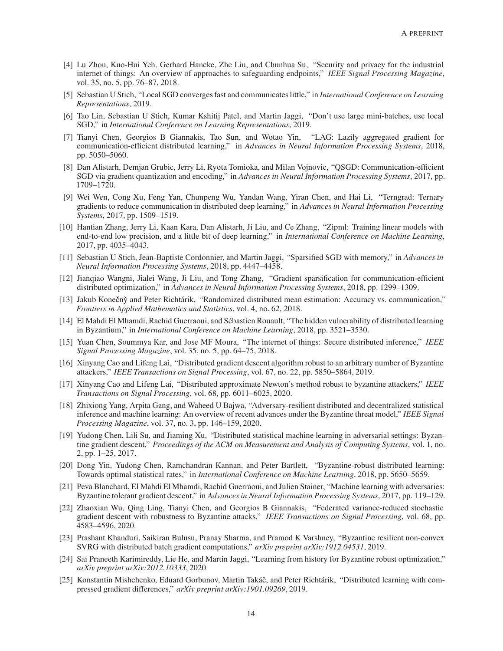- <span id="page-13-0"></span>[4] Lu Zhou, Kuo-Hui Yeh, Gerhard Hancke, Zhe Liu, and Chunhua Su, "Security and privacy for the industrial internet of things: An overview of approaches to safeguarding endpoints," *IEEE Signal Processing Magazine*, vol. 35, no. 5, pp. 76–87, 2018.
- <span id="page-13-1"></span>[5] Sebastian U Stich, "Local SGD converges fast and communicates little," in *International Conference on Learning Representations*, 2019.
- <span id="page-13-2"></span>[6] Tao Lin, Sebastian U Stich, Kumar Kshitij Patel, and Martin Jaggi, "Don't use large mini-batches, use local SGD," in *International Conference on Learning Representations*, 2019.
- <span id="page-13-3"></span>[7] Tianyi Chen, Georgios B Giannakis, Tao Sun, and Wotao Yin, "LAG: Lazily aggregated gradient for communication-efficient distributed learning," in *Advances in Neural Information Processing Systems*, 2018, pp. 5050–5060.
- <span id="page-13-4"></span>[8] Dan Alistarh, Demjan Grubic, Jerry Li, Ryota Tomioka, and Milan Vojnovic, "QSGD: Communication-efficient SGD via gradient quantization and encoding," in *Advances in Neural Information Processing Systems*, 2017, pp. 1709–1720.
- <span id="page-13-5"></span>[9] Wei Wen, Cong Xu, Feng Yan, Chunpeng Wu, Yandan Wang, Yiran Chen, and Hai Li, "Terngrad: Ternary gradients to reduce communication in distributed deep learning," in *Advances in Neural Information Processing Systems*, 2017, pp. 1509–1519.
- <span id="page-13-6"></span>[10] Hantian Zhang, Jerry Li, Kaan Kara, Dan Alistarh, Ji Liu, and Ce Zhang, "Zipml: Training linear models with end-to-end low precision, and a little bit of deep learning," in *International Conference on Machine Learning*, 2017, pp. 4035–4043.
- <span id="page-13-7"></span>[11] Sebastian U Stich, Jean-Baptiste Cordonnier, and Martin Jaggi, "Sparsified SGD with memory," in *Advances in Neural Information Processing Systems*, 2018, pp. 4447–4458.
- <span id="page-13-8"></span>[12] Jianqiao Wangni, Jialei Wang, Ji Liu, and Tong Zhang, "Gradient sparsification for communication-efficient distributed optimization," in *Advances in Neural Information Processing Systems*, 2018, pp. 1299–1309.
- <span id="page-13-9"></span>[13] Jakub Konečnỳ and Peter Richtárik, "Randomized distributed mean estimation: Accuracy vs. communication," *Frontiers in Applied Mathematics and Statistics*, vol. 4, no. 62, 2018.
- <span id="page-13-10"></span>[14] El Mahdi El Mhamdi, Rachid Guerraoui, and Sébastien Rouault, "The hidden vulnerability of distributed learning in Byzantium," in *International Conference on Machine Learning*, 2018, pp. 3521–3530.
- <span id="page-13-11"></span>[15] Yuan Chen, Soummya Kar, and Jose MF Moura, "The internet of things: Secure distributed inference," *IEEE Signal Processing Magazine*, vol. 35, no. 5, pp. 64–75, 2018.
- <span id="page-13-12"></span>[16] Xinyang Cao and Lifeng Lai, "Distributed gradient descent algorithm robust to an arbitrary number of Byzantine attackers," *IEEE Transactions on Signal Processing*, vol. 67, no. 22, pp. 5850–5864, 2019.
- <span id="page-13-13"></span>[17] Xinyang Cao and Lifeng Lai, "Distributed approximate Newton's method robust to byzantine attackers," *IEEE Transactions on Signal Processing*, vol. 68, pp. 6011–6025, 2020.
- <span id="page-13-14"></span>[18] Zhixiong Yang, Arpita Gang, and Waheed U Bajwa, "Adversary-resilient distributed and decentralized statistical inference and machine learning: An overview of recent advances under the Byzantine threat model," *IEEE Signal Processing Magazine*, vol. 37, no. 3, pp. 146–159, 2020.
- <span id="page-13-15"></span>[19] Yudong Chen, Lili Su, and Jiaming Xu, "Distributed statistical machine learning in adversarial settings: Byzantine gradient descent," *Proceedings of the ACM on Measurement and Analysis of Computing Systems*, vol. 1, no. 2, pp. 1–25, 2017.
- <span id="page-13-16"></span>[20] Dong Yin, Yudong Chen, Ramchandran Kannan, and Peter Bartlett, "Byzantine-robust distributed learning: Towards optimal statistical rates," in *International Conference on Machine Learning*, 2018, pp. 5650–5659.
- <span id="page-13-17"></span>[21] Peva Blanchard, El Mahdi El Mhamdi, Rachid Guerraoui, and Julien Stainer, "Machine learning with adversaries: Byzantine tolerant gradient descent," in *Advances in Neural Information Processing Systems*, 2017, pp. 119–129.
- <span id="page-13-18"></span>[22] Zhaoxian Wu, Qing Ling, Tianyi Chen, and Georgios B Giannakis, "Federated variance-reduced stochastic gradient descent with robustness to Byzantine attacks," *IEEE Transactions on Signal Processing*, vol. 68, pp. 4583–4596, 2020.
- <span id="page-13-19"></span>[23] Prashant Khanduri, Saikiran Bulusu, Pranay Sharma, and Pramod K Varshney, "Byzantine resilient non-convex SVRG with distributed batch gradient computations," *arXiv preprint arXiv:1912.04531*, 2019.
- <span id="page-13-20"></span>[24] Sai Praneeth Karimireddy, Lie He, and Martin Jaggi, "Learning from history for Byzantine robust optimization," *arXiv preprint arXiv:2012.10333*, 2020.
- <span id="page-13-21"></span>[25] Konstantin Mishchenko, Eduard Gorbunov, Martin Takáč, and Peter Richtárik, "Distributed learning with compressed gradient differences," *arXiv preprint arXiv:1901.09269*, 2019.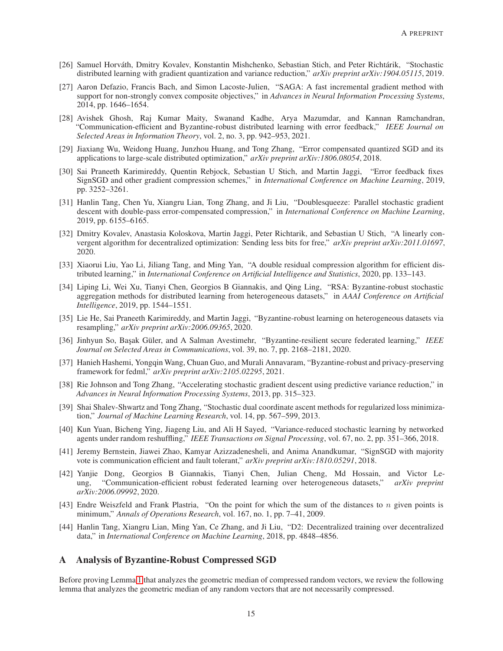- <span id="page-14-0"></span>[26] Samuel Horváth, Dmitry Kovalev, Konstantin Mishchenko, Sebastian Stich, and Peter Richtárik, "Stochastic distributed learning with gradient quantization and variance reduction," *arXiv preprint arXiv:1904.05115*, 2019.
- <span id="page-14-1"></span>[27] Aaron Defazio, Francis Bach, and Simon Lacoste-Julien, "SAGA: A fast incremental gradient method with support for non-strongly convex composite objectives," in *Advances in Neural Information Processing Systems*, 2014, pp. 1646–1654.
- <span id="page-14-2"></span>[28] Avishek Ghosh, Raj Kumar Maity, Swanand Kadhe, Arya Mazumdar, and Kannan Ramchandran, "Communication-efficient and Byzantine-robust distributed learning with error feedback," *IEEE Journal on Selected Areas in Information Theory*, vol. 2, no. 3, pp. 942–953, 2021.
- <span id="page-14-3"></span>[29] Jiaxiang Wu, Weidong Huang, Junzhou Huang, and Tong Zhang, "Error compensated quantized SGD and its applications to large-scale distributed optimization," *arXiv preprint arXiv:1806.08054*, 2018.
- <span id="page-14-4"></span>[30] Sai Praneeth Karimireddy, Quentin Rebjock, Sebastian U Stich, and Martin Jaggi, "Error feedback fixes SignSGD and other gradient compression schemes," in *International Conference on Machine Learning*, 2019, pp. 3252–3261.
- <span id="page-14-5"></span>[31] Hanlin Tang, Chen Yu, Xiangru Lian, Tong Zhang, and Ji Liu, "Doublesqueeze: Parallel stochastic gradient descent with double-pass error-compensated compression," in *International Conference on Machine Learning*, 2019, pp. 6155–6165.
- <span id="page-14-6"></span>[32] Dmitry Kovalev, Anastasia Koloskova, Martin Jaggi, Peter Richtarik, and Sebastian U Stich, "A linearly convergent algorithm for decentralized optimization: Sending less bits for free," *arXiv preprint arXiv:2011.01697*, 2020.
- <span id="page-14-7"></span>[33] Xiaorui Liu, Yao Li, Jiliang Tang, and Ming Yan, "A double residual compression algorithm for efficient distributed learning," in *International Conference on Artificial Intelligence and Statistics*, 2020, pp. 133–143.
- <span id="page-14-8"></span>[34] Liping Li, Wei Xu, Tianyi Chen, Georgios B Giannakis, and Qing Ling, "RSA: Byzantine-robust stochastic aggregation methods for distributed learning from heterogeneous datasets," in *AAAI Conference on Artificial Intelligence*, 2019, pp. 1544–1551.
- <span id="page-14-9"></span>[35] Lie He, Sai Praneeth Karimireddy, and Martin Jaggi, "Byzantine-robust learning on heterogeneous datasets via resampling," *arXiv preprint arXiv:2006.09365*, 2020.
- <span id="page-14-10"></span>[36] Jinhyun So, Ba¸sak Güler, and A Salman Avestimehr, "Byzantine-resilient secure federated learning," *IEEE Journal on Selected Areas in Communications*, vol. 39, no. 7, pp. 2168–2181, 2020.
- <span id="page-14-11"></span>[37] Hanieh Hashemi, Yongqin Wang, Chuan Guo, and Murali Annavaram, "Byzantine-robust and privacy-preserving framework for fedml," *arXiv preprint arXiv:2105.02295*, 2021.
- <span id="page-14-12"></span>[38] Rie Johnson and Tong Zhang, "Accelerating stochastic gradient descent using predictive variance reduction," in *Advances in Neural Information Processing Systems*, 2013, pp. 315–323.
- <span id="page-14-13"></span>[39] Shai Shalev-Shwartz and Tong Zhang, "Stochastic dual coordinate ascent methods for regularized loss minimization," *Journal of Machine Learning Research*, vol. 14, pp. 567–599, 2013.
- <span id="page-14-14"></span>[40] Kun Yuan, Bicheng Ying, Jiageng Liu, and Ali H Sayed, "Variance-reduced stochastic learning by networked agents under random reshuffling," *IEEE Transactions on Signal Processing*, vol. 67, no. 2, pp. 351–366, 2018.
- <span id="page-14-15"></span>[41] Jeremy Bernstein, Jiawei Zhao, Kamyar Azizzadenesheli, and Anima Anandkumar, "SignSGD with majority vote is communication efficient and fault tolerant," *arXiv preprint arXiv:1810.05291*, 2018.
- <span id="page-14-16"></span>[42] Yanjie Dong, Georgios B Giannakis, Tianyi Chen, Julian Cheng, Md Hossain, and Victor Leung, "Communication-efficient robust federated learning over heterogeneous datasets," *arXiv preprint arXiv:2006.09992*, 2020.
- <span id="page-14-17"></span>[43] Endre Weiszfeld and Frank Plastria, "On the point for which the sum of the distances to n given points is minimum," *Annals of Operations Research*, vol. 167, no. 1, pp. 7–41, 2009.
- <span id="page-14-18"></span>[44] Hanlin Tang, Xiangru Lian, Ming Yan, Ce Zhang, and Ji Liu, "D2: Decentralized training over decentralized data," in *International Conference on Machine Learning*, 2018, pp. 4848–4856.

# <span id="page-14-19"></span>A Analysis of Byzantine-Robust Compressed SGD

Before proving Lemma [1](#page-5-0) that analyzes the geometric median of compressed random vectors, we review the following lemma that analyzes the geometric median of any random vectors that are not necessarily compressed.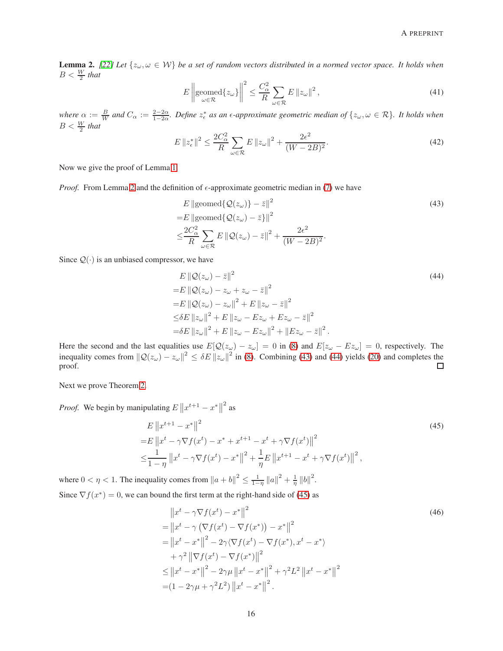<span id="page-15-0"></span>**Lemma 2.** [\[22\]](#page-13-18) Let  $\{z_{\omega}, \omega \in \mathcal{W}\}$  be a set of random vectors distributed in a normed vector space. It holds when  $B < \frac{W}{2}$  that

$$
E\left\|\text{geomed}\{z_{\omega}\}\right\|^{2} \leq \frac{C_{\alpha}^{2}}{R} \sum_{\omega \in \mathcal{R}} E\left\|z_{\omega}\right\|^{2},\tag{41}
$$

where  $\alpha := \frac{B}{W}$  and  $C_{\alpha} := \frac{2-2\alpha}{1-2\alpha}$ . Define  $z_{\epsilon}^*$  as an  $\epsilon$ -approximate geometric median of  $\{z_{\omega}, \omega \in \mathcal{R}\}\$ . It holds when  $B < \frac{W}{2}$  that

$$
E \|z_{\epsilon}^*\|^2 \le \frac{2C_{\alpha}^2}{R} \sum_{\omega \in \mathcal{R}} E \|z_{\omega}\|^2 + \frac{2\epsilon^2}{(W - 2B)^2}.
$$
 (42)

Now we give the proof of Lemma [1.](#page-5-0)

*Proof.* From Lemma [2](#page-15-0) and the definition of  $\epsilon$ -approximate geometric median in [\(7\)](#page-3-3) we have

<span id="page-15-1"></span>
$$
E \|\text{geomed}\{\mathcal{Q}(z_{\omega})\} - \bar{z}\|^2
$$
\n
$$
= E \|\text{geomed}\{\mathcal{Q}(z_{\omega}) - \bar{z}\}\|^2
$$
\n
$$
\leq \frac{2C_{\alpha}^2}{R} \sum_{\omega \in \mathcal{R}} E \|\mathcal{Q}(z_{\omega}) - \bar{z}\|^2 + \frac{2\epsilon^2}{(W - 2B)^2}.
$$
\n(43)

Since  $Q(\cdot)$  is an unbiased compressor, we have

<span id="page-15-2"></span>
$$
E || Q(z_{\omega}) - \bar{z} ||^{2}
$$
\n
$$
= E || Q(z_{\omega}) - z_{\omega} + z_{\omega} - \bar{z} ||^{2}
$$
\n
$$
= E || Q(z_{\omega}) - z_{\omega} ||^{2} + E || z_{\omega} - \bar{z} ||^{2}
$$
\n
$$
\leq \delta E ||z_{\omega}||^{2} + E || z_{\omega} - E z_{\omega} + E z_{\omega} - \bar{z} ||^{2}
$$
\n
$$
= \delta E ||z_{\omega}||^{2} + E || z_{\omega} - E z_{\omega} ||^{2} + || E z_{\omega} - \bar{z} ||^{2}.
$$
\n(44)

Here the second and the last equalities use  $E[Q(z_{\omega}) - z_{\omega}] = 0$  in [\(8\)](#page-3-4) and  $E[z_{\omega} - Ez_{\omega}] = 0$ , respectively. The inequality comes from  $||Q(z_{\omega}) - z_{\omega}||^2 \le \delta E ||z_{\omega}||^2$  in [\(8\)](#page-3-4). Combining [\(43\)](#page-15-1) and [\(44\)](#page-15-2) yields [\(20\)](#page-5-2) and completes the proof.  $\Box$ 

Next we prove Theorem [2.](#page-6-0)

*Proof.* We begin by manipulating  $E \left\| x^{t+1} - x^* \right\|$  $^{2}$  as

$$
E \|x^{t+1} - x^*\|^2
$$
  
=  $E \|x^t - \gamma \nabla f(x^t) - x^* + x^{t+1} - x^t + \gamma \nabla f(x^t)\|^2$   

$$
\leq \frac{1}{1 - \eta} \|x^t - \gamma \nabla f(x^t) - x^*\|^2 + \frac{1}{\eta} E \|x^{t+1} - x^t + \gamma \nabla f(x^t)\|^2,
$$
 (45)

where  $0 < \eta < 1$ . The inequality comes from  $||a + b||^2 \le \frac{1}{1-\eta} ||a||^2 + \frac{1}{\eta} ||b||^2$ . Since  $\nabla f(x^*) = 0$ , we can bound the first term at the right-hand side of [\(45\)](#page-15-3) as

<span id="page-15-4"></span><span id="page-15-3"></span>
$$
||x^{t} - \gamma \nabla f(x^{t}) - x^{*}||^{2}
$$
\n
$$
= ||x^{t} - \gamma (\nabla f(x^{t}) - \nabla f(x^{*})) - x^{*}||^{2}
$$
\n
$$
= ||x^{t} - x^{*}||^{2} - 2\gamma \langle \nabla f(x^{t}) - \nabla f(x^{*}), x^{t} - x^{*} \rangle
$$
\n
$$
+ \gamma^{2} ||\nabla f(x^{t}) - \nabla f(x^{*})||^{2}
$$
\n
$$
\leq ||x^{t} - x^{*}||^{2} - 2\gamma \mu ||x^{t} - x^{*}||^{2} + \gamma^{2} L^{2} ||x^{t} - x^{*}||^{2}
$$
\n
$$
= (1 - 2\gamma \mu + \gamma^{2} L^{2}) ||x^{t} - x^{*}||^{2}.
$$
\n(46)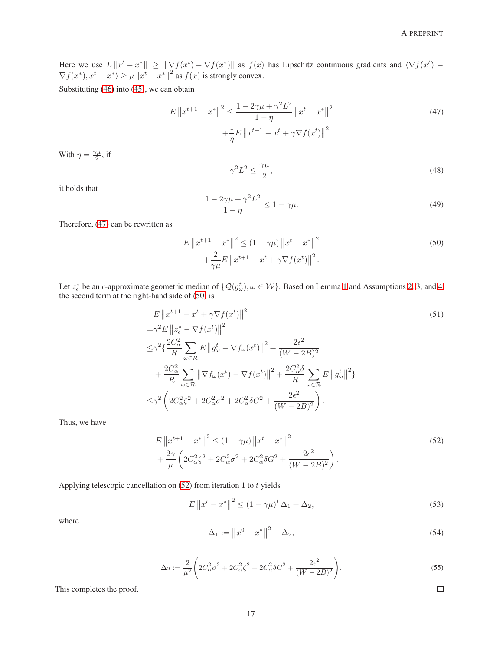Here we use  $L \|x^t - x^*\| \geq \|\nabla f(x^t) - \nabla f(x^*)\|$  as  $f(x)$  has Lipschitz continuous gradients and  $\langle \nabla f(x^t) - \nabla f(x^*) \rangle$  $\nabla f(x^*), x^t - x^* \rangle \ge \mu \|x^t - x^*\|^2$  as  $f(x)$  is strongly convex.

Substituting [\(46\)](#page-15-4) into [\(45\)](#page-15-3), we can obtain

$$
E \|x^{t+1} - x^*\|^2 \le \frac{1 - 2\gamma\mu + \gamma^2 L^2}{1 - \eta} \|x^t - x^*\|^2 + \frac{1}{\eta} E \|x^{t+1} - x^t + \gamma \nabla f(x^t)\|^2.
$$
\n
$$
(47)
$$

With  $\eta = \frac{\gamma \mu}{2}$  $\frac{\sqrt{\mu}}{2}$ , if

<span id="page-16-1"></span><span id="page-16-0"></span>
$$
\gamma^2 L^2 \le \frac{\gamma \mu}{2},\tag{48}
$$

it holds that

$$
\frac{1 - 2\gamma\mu + \gamma^2 L^2}{1 - \eta} \le 1 - \gamma\mu.
$$
\n(49)

Therefore, [\(47\)](#page-16-0) can be rewritten as

$$
E \|x^{t+1} - x^*\|^2 \le (1 - \gamma \mu) \|x^t - x^*\|^2
$$
  
+ 
$$
\frac{2}{\gamma \mu} E \|x^{t+1} - x^t + \gamma \nabla f(x^t)\|^2.
$$
 (50)

Let  $z^*_{\epsilon}$  be an  $\epsilon$ -approximate geometric median of  $\{Q(g^t_{\omega}), \omega \in \mathcal{W}\}\)$ . Based on Lemma [1](#page-5-0) and Assumptions [2,](#page-3-1) [3,](#page-4-0) and [4,](#page-4-1) the second term at the right-hand side of [\(50\)](#page-16-1) is

$$
E ||x^{t+1} - x^t + \gamma \nabla f(x^t) ||^2
$$
  
\n
$$
= \gamma^2 E ||z_{\epsilon}^* - \nabla f(x^t) ||^2
$$
  
\n
$$
\leq \gamma^2 \{ \frac{2C_{\alpha}^2}{R} \sum_{\omega \in \mathcal{R}} E ||g_{\omega}^t - \nabla f_{\omega}(x^t) ||^2 + \frac{2\epsilon^2}{(W - 2B)^2}
$$
  
\n
$$
+ \frac{2C_{\alpha}^2}{R} \sum_{\omega \in \mathcal{R}} ||\nabla f_{\omega}(x^t) - \nabla f(x^t) ||^2 + \frac{2C_{\alpha}^2 \delta}{R} \sum_{\omega \in \mathcal{R}} E ||g_{\omega}^t||^2 \}
$$
  
\n
$$
\leq \gamma^2 \left( 2C_{\alpha}^2 \zeta^2 + 2C_{\alpha}^2 \sigma^2 + 2C_{\alpha}^2 \delta G^2 + \frac{2\epsilon^2}{(W - 2B)^2} \right).
$$
\n(51)

Thus, we have

$$
E \|x^{t+1} - x^*\|^2 \le (1 - \gamma \mu) \|x^t - x^*\|^2
$$
  
+ 
$$
\frac{2\gamma}{\mu} \left( 2C_\alpha^2 \zeta^2 + 2C_\alpha^2 \sigma^2 + 2C_\alpha^2 \delta G^2 + \frac{2\epsilon^2}{(W - 2B)^2} \right).
$$
 (52)

Applying telescopic cancellation on  $(52)$  from iteration 1 to t yields

$$
E\left\|x^{t} - x^{*}\right\|^{2} \le (1 - \gamma\mu)^{t} \Delta_{1} + \Delta_{2},
$$
\n(53)

where

$$
\Delta_1 := \|x^0 - x^*\|^2 - \Delta_2,\tag{54}
$$

$$
\Delta_2 := \frac{2}{\mu^2} \left( 2C_\alpha^2 \sigma^2 + 2C_\alpha^2 \zeta^2 + 2C_\alpha^2 \delta G^2 + \frac{2\epsilon^2}{(W - 2B)^2} \right).
$$
\n(55)

This completes the proof.

<span id="page-16-2"></span> $\Box$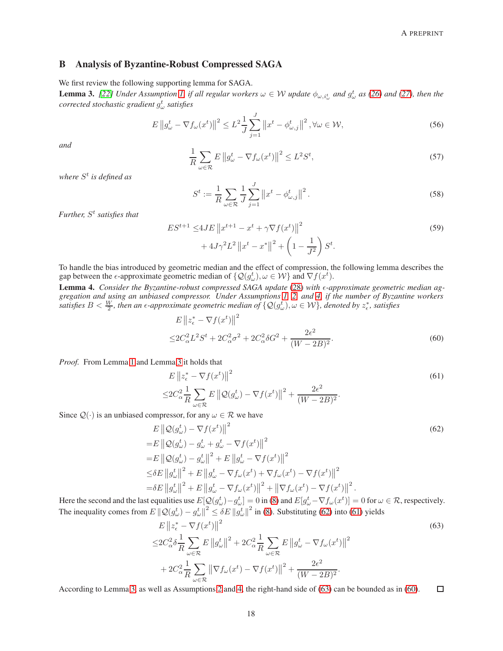# <span id="page-17-0"></span>B Analysis of Byzantine-Robust Compressed SAGA

We first review the following supporting lemma for SAGA.

<span id="page-17-1"></span>**Lemma 3.** [\[22\]](#page-13-18) Under Assumption [1,](#page-3-0) if all regular workers  $\omega \in W$  update  $\phi_{\omega,i^t_{\omega}}$  and  $g^t_{\omega}$  as [\(26\)](#page-6-4) and [\(27\)](#page-6-2), then the *corrected stochastic gradient* g t ω *satisfies*

$$
E\left\|g_{\omega}^{t} - \nabla f_{\omega}(x^{t})\right\|^{2} \leq L^{2} \frac{1}{J} \sum_{j=1}^{J} \left\|x^{t} - \phi_{\omega,j}^{t}\right\|^{2}, \forall \omega \in \mathcal{W},\tag{56}
$$

*and*

$$
\frac{1}{R} \sum_{\omega \in \mathcal{R}} E \left\| g_{\omega}^t - \nabla f_{\omega}(x^t) \right\|^2 \le L^2 S^t,
$$
\n(57)

*where* S t *is defined as*

<span id="page-17-7"></span><span id="page-17-6"></span>
$$
S^{t} := \frac{1}{R} \sum_{\omega \in \mathcal{R}} \frac{1}{J} \sum_{j=1}^{J} \left\| x^{t} - \phi_{\omega,j}^{t} \right\|^{2}.
$$
 (58)

*Further,* S t *satisfies that*

$$
ES^{t+1} \le 4JE \left\| x^{t+1} - x^t + \gamma \nabla f(x^t) \right\|^2
$$
  
+ 
$$
4J\gamma^2 L^2 \left\| x^t - x^* \right\|^2 + \left( 1 - \frac{1}{J^2} \right) S^t.
$$
 (59)

To handle the bias introduced by geometric median and the effect of compression, the following lemma describes the gap between the  $\epsilon$ -approximate geometric median of  $\{Q(g_\omega^t), \omega \in \mathcal{W}\}\$  and  $\nabla f(x^t)$ .

<span id="page-17-8"></span>Lemma 4. *Consider the Byzantine-robust compressed SAGA update* [\(28\)](#page-7-0) with  $\epsilon$ -approximate geometric median ag*gregation and using an unbiased compressor. Under Assumptions [1,](#page-3-0) [2,](#page-3-1) and [4,](#page-4-1) if the number of Byzantine workers*  $s$ atisfies  $B<\frac{W}{2}$ , then an  $\epsilon$ -approximate geometric median of  $\{\mathcal{Q}(g_\omega^t),\omega\in\mathcal{W}\}$ , denoted by  $z_\epsilon^*$ , satisfies

<span id="page-17-5"></span><span id="page-17-3"></span>
$$
E \|z_{\epsilon}^* - \nabla f(x^t)\|^2
$$
  

$$
\leq 2C_{\alpha}^2 L^2 S^t + 2C_{\alpha}^2 \sigma^2 + 2C_{\alpha}^2 \delta G^2 + \frac{2\epsilon^2}{(W - 2B)^2}.
$$
 (60)

*Proof.* From Lemma [1](#page-5-0) and Lemma [3](#page-17-1) it holds that

<span id="page-17-2"></span>
$$
E \left\| z_{\epsilon}^{*} - \nabla f(x^{t}) \right\|^{2}
$$
  
\n
$$
\leq 2C_{\alpha}^{2} \frac{1}{R} \sum_{\omega \in \mathcal{R}} E \left\| \mathcal{Q}(g_{\omega}^{t}) - \nabla f(x^{t}) \right\|^{2} + \frac{2\epsilon^{2}}{(W - 2B)^{2}}.
$$
\n
$$
(61)
$$

Since  $\mathcal{Q}(\cdot)$  is an unbiased compressor, for any  $\omega \in \mathcal{R}$  we have

 $=$ 

 $=$ 

$$
E \|\mathcal{Q}(g_{\omega}^{t}) - \nabla f(x^{t})\|^{2}
$$
  
\n
$$
= E \|\mathcal{Q}(g_{\omega}^{t}) - g_{\omega}^{t} + g_{\omega}^{t} - \nabla f(x^{t})\|^{2}
$$
  
\n
$$
= E \|\mathcal{Q}(g_{\omega}^{t}) - g_{\omega}^{t}\|^{2} + E \|g_{\omega}^{t} - \nabla f(x^{t})\|^{2}
$$
  
\n
$$
\leq \delta E \|\overline{g_{\omega}^{t}}\|^{2} + E \|\overline{g_{\omega}^{t}} - \nabla f_{\omega}(x^{t}) + \nabla f_{\omega}(x^{t}) - \nabla f(x^{t})\|^{2}
$$
  
\n
$$
= \delta E \|\overline{g_{\omega}^{t}}\|^{2} + E \|\overline{g_{\omega}^{t}} - \nabla f_{\omega}(x^{t})\|^{2} + \|\nabla f_{\omega}(x^{t}) - \nabla f(x^{t})\|^{2}.
$$
\n(62)

Here the second and the last equalities use  $E[Q(g^t_\omega) - g^t_\omega] = 0$  in [\(8\)](#page-3-4) and  $E[g^t_\omega - \nabla f_\omega(x^t)] = 0$  for  $\omega \in \mathcal{R}$ , respectively. The inequality comes from  $E \|\mathcal{Q}(g_\omega^t) - g_\omega^t\|^2 \le \delta E \|g_\omega^t\|^2$  in [\(8\)](#page-3-4). Substituting [\(62\)](#page-17-2) into [\(61\)](#page-17-3) yields

<span id="page-17-4"></span>
$$
E \left\| z_{\epsilon}^{*} - \nabla f(x^{t}) \right\|^{2}
$$
  
\n
$$
\leq 2C_{\alpha}^{2} \delta \frac{1}{R} \sum_{\omega \in \mathcal{R}} E \left\| g_{\omega}^{t} \right\|^{2} + 2C_{\alpha}^{2} \frac{1}{R} \sum_{\omega \in \mathcal{R}} E \left\| g_{\omega}^{t} - \nabla f_{\omega}(x^{t}) \right\|^{2}
$$
  
\n
$$
+ 2C_{\alpha}^{2} \frac{1}{R} \sum_{\omega \in \mathcal{R}} \left\| \nabla f_{\omega}(x^{t}) - \nabla f(x^{t}) \right\|^{2} + \frac{2\epsilon^{2}}{(W - 2B)^{2}}.
$$
\n
$$
(63)
$$

According to Lemma [3,](#page-17-1) as well as Assumptions [2](#page-3-1) and [4,](#page-4-1) the right-hand side of [\(63\)](#page-17-4) can be bounded as in [\(60\)](#page-17-5).  $\Box$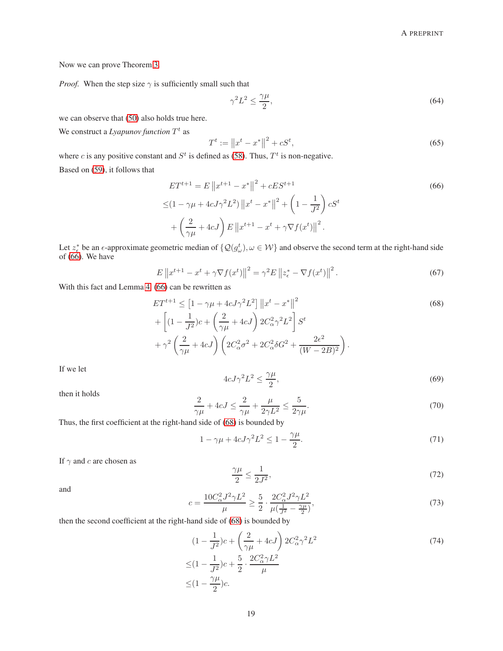Now we can prove Theorem [3.](#page-7-3)

*Proof.* When the step size  $\gamma$  is sufficiently small such that

<span id="page-18-5"></span><span id="page-18-0"></span>
$$
\gamma^2 L^2 \le \frac{\gamma \mu}{2},\tag{64}
$$

we can observe that [\(50\)](#page-16-1) also holds true here.

We construct a *Lyapunov function*  $T<sup>t</sup>$  as

<span id="page-18-4"></span>
$$
T^t := \|x^t - x^*\|^2 + cS^t,\tag{65}
$$

where c is any positive constant and  $S<sup>t</sup>$  is defined as [\(58\)](#page-17-6). Thus,  $T<sup>t</sup>$  is non-negative.

Based on [\(59\)](#page-17-7), it follows that

$$
ET^{t+1} = E \|x^{t+1} - x^*\|^2 + cES^{t+1}
$$
\n
$$
\leq (1 - \gamma \mu + 4cJ\gamma^2 L^2) \|x^t - x^*\|^2 + \left(1 - \frac{1}{J^2}\right) cS^t
$$
\n
$$
+ \left(\frac{2}{\gamma \mu} + 4cJ\right) E \|x^{t+1} - x^t + \gamma \nabla f(x^t)\|^2.
$$
\n(66)

Let  $z_6^*$  be an  $\epsilon$ -approximate geometric median of  $\{Q(g_\omega^t), \omega \in \mathcal{W}\}\$ and observe the second term at the right-hand side of [\(66\)](#page-18-0). We have

$$
E\left\|x^{t+1} - x^t + \gamma \nabla f(x^t)\right\|^2 = \gamma^2 E\left\|z^*_{\epsilon} - \nabla f(x^t)\right\|^2.
$$
 (67)

With this fact and Lemma [4,](#page-17-8) [\(66\)](#page-18-0) can be rewritten as

$$
ET^{t+1} \leq \left[1 - \gamma \mu + 4cJ\gamma^2 L^2\right] \|x^t - x^*\|^2 + \left[(1 - \frac{1}{J^2})c + \left(\frac{2}{\gamma \mu} + 4cJ\right)2C_\alpha^2 \gamma^2 L^2\right] S^t + \gamma^2 \left(\frac{2}{\gamma \mu} + 4cJ\right) \left(2C_\alpha^2 \sigma^2 + 2C_\alpha^2 \delta G^2 + \frac{2\epsilon^2}{(W - 2B)^2}\right).
$$
\n(68)

<span id="page-18-6"></span>If we let

<span id="page-18-1"></span>
$$
4cJ\gamma^2L^2 \le \frac{\gamma\mu}{2},\tag{69}
$$

then it holds

$$
\frac{2}{\gamma\mu} + 4cJ \le \frac{2}{\gamma\mu} + \frac{\mu}{2\gamma L^2} \le \frac{5}{2\gamma\mu}.
$$
\n(70)

Thus, the first coefficient at the right-hand side of [\(68\)](#page-18-1) is bounded by

$$
1 - \gamma \mu + 4cJ\gamma^2 L^2 \le 1 - \frac{\gamma \mu}{2}.\tag{71}
$$

If  $\gamma$  and c are chosen as

<span id="page-18-3"></span><span id="page-18-2"></span>
$$
\frac{\gamma \mu}{2} \le \frac{1}{2J^2},\tag{72}
$$

and

<span id="page-18-7"></span>
$$
c = \frac{10C_{\alpha}^{2}J^{2}\gamma L^{2}}{\mu} \ge \frac{5}{2} \cdot \frac{2C_{\alpha}^{2}J^{2}\gamma L^{2}}{\mu(\frac{1}{J^{2}} - \frac{\gamma\mu}{2})},\tag{73}
$$

then the second coefficient at the right-hand side of [\(68\)](#page-18-1) is bounded by

$$
(1 - \frac{1}{J^2})c + \left(\frac{2}{\gamma\mu} + 4cJ\right)2C_{\alpha}^2 \gamma^2 L^2
$$
  

$$
\leq (1 - \frac{1}{J^2})c + \frac{5}{2} \cdot \frac{2C_{\alpha}^2 \gamma L^2}{\mu}
$$
  

$$
\leq (1 - \frac{\gamma\mu}{2})c.
$$
 (74)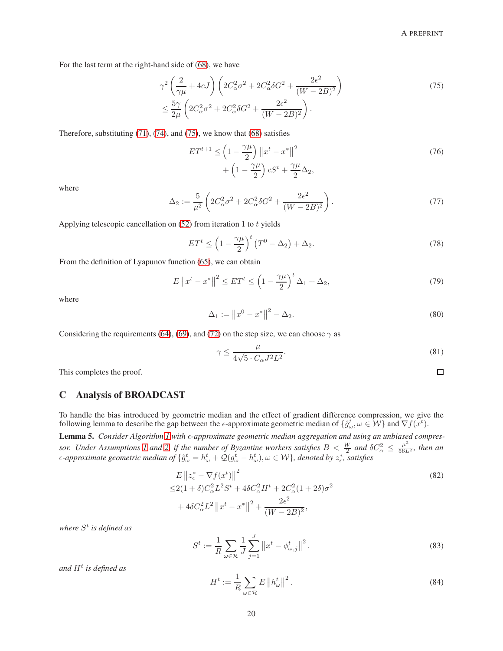<span id="page-19-2"></span> $\Box$ 

For the last term at the right-hand side of [\(68\)](#page-18-1), we have

$$
\gamma^2 \left( \frac{2}{\gamma \mu} + 4cJ \right) \left( 2C_{\alpha}^2 \sigma^2 + 2C_{\alpha}^2 \delta G^2 + \frac{2\epsilon^2}{(W - 2B)^2} \right) \n\leq \frac{5\gamma}{2\mu} \left( 2C_{\alpha}^2 \sigma^2 + 2C_{\alpha}^2 \delta G^2 + \frac{2\epsilon^2}{(W - 2B)^2} \right).
$$
\n(75)

Therefore, substituting [\(71\)](#page-18-2), [\(74\)](#page-18-3), and [\(75\)](#page-19-0), we know that [\(68\)](#page-18-1) satisfies

<span id="page-19-0"></span>
$$
ET^{t+1} \le \left(1 - \frac{\gamma \mu}{2}\right) \left\|x^t - x^*\right\|^2
$$
  
+ 
$$
\left(1 - \frac{\gamma \mu}{2}\right) cS^t + \frac{\gamma \mu}{2} \Delta_2,
$$
 (76)

where

$$
\Delta_2 := \frac{5}{\mu^2} \left( 2C_\alpha^2 \sigma^2 + 2C_\alpha^2 \delta G^2 + \frac{2\epsilon^2}{(W - 2B)^2} \right). \tag{77}
$$

Applying telescopic cancellation on  $(52)$  from iteration 1 to t yields

$$
ET^{t} \le \left(1 - \frac{\gamma \mu}{2}\right)^{t} \left(T^{0} - \Delta_{2}\right) + \Delta_{2}.
$$
\n(78)

From the definition of Lyapunov function [\(65\)](#page-18-4), we can obtain

$$
E\left\|x^{t}-x^{*}\right\|^{2} \leq ET^{t} \leq \left(1-\frac{\gamma\mu}{2}\right)^{t} \Delta_{1} + \Delta_{2},\tag{79}
$$

where

$$
\Delta_1 := \|x^0 - x^*\|^2 - \Delta_2. \tag{80}
$$

Considering the requirements [\(64\)](#page-18-5), [\(69\)](#page-18-6), and [\(72\)](#page-18-7) on the step size, we can choose  $\gamma$  as

$$
\gamma \le \frac{\mu}{4\sqrt{5} \cdot C_{\alpha} J^2 L^2}.\tag{81}
$$

This completes the proof.

# C Analysis of BROADCAST

To handle the bias introduced by geometric median and the effect of gradient difference compression, we give the following lemma to describe the gap between the  $\epsilon$ -approximate geometric median of  $\{\hat{g}^t_\omega, \omega \in \mathcal{W}\}\$ and  $\nabla f(\vec{x}^t)$ .

<span id="page-19-3"></span>Lemma 5. Consider Algorithm [1](#page-8-0) with  $\epsilon$ -approximate geometric median aggregation and using an unbiased compres-sor. Under Assumptions [1](#page-3-0) and [2,](#page-3-1) if the number of Byzantine workers satisfies  $B < \frac{W}{2}$  and  $\delta C_\alpha^2 \leq \frac{\mu^2}{56L^2}$ , then an  $\epsilon$ -approximate geometric median of  $\{\hat{g}^t_\omega = h^t_\omega + \mathcal{Q}(g^t_\omega - h^t_\omega), \omega \in \mathcal{W}\}\$ , denoted by  $z^*_\epsilon$ , satisfies

$$
E \|z_{\epsilon}^* - \nabla f(x^t) \|^2
$$
  
\n
$$
\leq 2(1+\delta)C_{\alpha}^2 L^2 S^t + 4\delta C_{\alpha}^2 H^t + 2C_{\alpha}^2 (1+2\delta)\sigma^2
$$
  
\n
$$
+ 4\delta C_{\alpha}^2 L^2 \|x^t - x^*\|^2 + \frac{2\epsilon^2}{(W - 2B)^2},
$$
\n(82)

*where* S t *is defined as*

<span id="page-19-4"></span>
$$
S^{t} := \frac{1}{R} \sum_{\omega \in \mathcal{R}} \frac{1}{J} \sum_{j=1}^{J} \left\| x^{t} - \phi_{\omega,j}^{t} \right\|^{2}.
$$
 (83)

<span id="page-19-1"></span>*and* H<sup>t</sup> *is defined as*

$$
H^{t} := \frac{1}{R} \sum_{\omega \in \mathcal{R}} E \left\| h_{\omega}^{t} \right\|^{2}.
$$
 (84)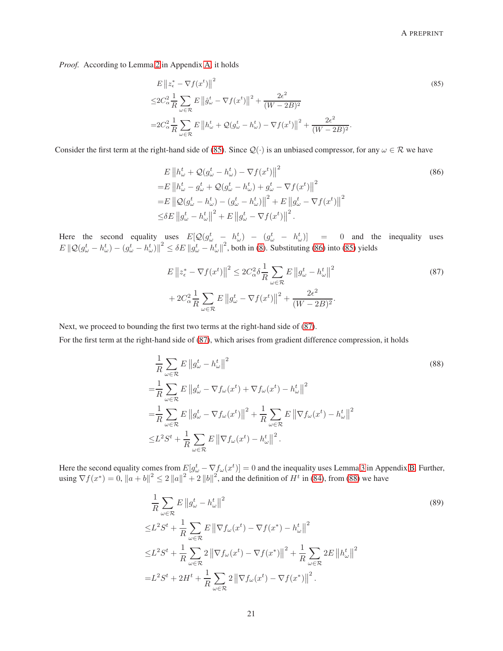*Proof.* According to Lemma [2](#page-15-0) in Appendix [A,](#page-14-19) it holds

<span id="page-20-0"></span>
$$
E \left\| z_{\epsilon}^{*} - \nabla f(x^{t}) \right\|^{2}
$$
  
\n
$$
\leq 2C_{\alpha}^{2} \frac{1}{R} \sum_{\omega \in \mathcal{R}} E \left\| \hat{g}_{\omega}^{t} - \nabla f(x^{t}) \right\|^{2} + \frac{2\epsilon^{2}}{(W - 2B)^{2}}
$$
  
\n
$$
= 2C_{\alpha}^{2} \frac{1}{R} \sum_{\omega \in \mathcal{R}} E \left\| h_{\omega}^{t} + \mathcal{Q}(g_{\omega}^{t} - h_{\omega}^{t}) - \nabla f(x^{t}) \right\|^{2} + \frac{2\epsilon^{2}}{(W - 2B)^{2}}.
$$
\n
$$
(85)
$$

Consider the first term at the right-hand side of [\(85\)](#page-20-0). Since  $\mathcal{Q}(\cdot)$  is an unbiased compressor, for any  $\omega \in \mathcal{R}$  we have

<span id="page-20-1"></span>
$$
E \|h_{\omega}^{t} + Q(g_{\omega}^{t} - h_{\omega}^{t}) - \nabla f(x^{t})\|^{2}
$$
  
\n
$$
= E \|h_{\omega}^{t} - g_{\omega}^{t} + Q(g_{\omega}^{t} - h_{\omega}^{t}) + g_{\omega}^{t} - \nabla f(x^{t})\|^{2}
$$
  
\n
$$
= E \|Q(g_{\omega}^{t} - h_{\omega}^{t}) - (g_{\omega}^{t} - h_{\omega}^{t})\|^{2} + E \|g_{\omega}^{t} - \nabla f(x^{t})\|^{2}
$$
  
\n
$$
\leq \delta E \|g_{\omega}^{t} - h_{\omega}^{t}\|^{2} + E \|g_{\omega}^{t} - \nabla f(x^{t})\|^{2}.
$$
\n(86)

Here the second equality uses  $E[Q(g^t_\omega - h^t_\omega) - (g^t_\omega - h^t_\omega)] = 0$  and the inequality uses  $E \left\| \mathcal{Q}(g_{\omega}^t - h_{\omega}^t) - (g_{\omega}^t - h_{\omega}^t) \right\|^2 \le \delta E \left\| g_{\omega}^t - h_{\omega}^t \right\|^2$ , both in [\(8\)](#page-3-4). Substituting [\(86\)](#page-20-1) into [\(85\)](#page-20-0) yields

<span id="page-20-3"></span><span id="page-20-2"></span>
$$
E \left\| z_{\epsilon}^{*} - \nabla f(x^{t}) \right\|^{2} \leq 2C_{\alpha}^{2} \delta \frac{1}{R} \sum_{\omega \in \mathcal{R}} E \left\| g_{\omega}^{t} - h_{\omega}^{t} \right\|^{2}
$$
  
+ 
$$
2C_{\alpha}^{2} \frac{1}{R} \sum_{\omega \in \mathcal{R}} E \left\| g_{\omega}^{t} - \nabla f(x^{t}) \right\|^{2} + \frac{2\epsilon^{2}}{(W - 2B)^{2}}.
$$
 (87)

Next, we proceed to bounding the first two terms at the right-hand side of [\(87\)](#page-20-2).

For the first term at the right-hand side of [\(87\)](#page-20-2), which arises from gradient difference compression, it holds

$$
\frac{1}{R} \sum_{\omega \in \mathcal{R}} E ||g_{\omega}^t - h_{\omega}^t||^2
$$
\n
$$
= \frac{1}{R} \sum_{\omega \in \mathcal{R}} E ||g_{\omega}^t - \nabla f_{\omega}(x^t) + \nabla f_{\omega}(x^t) - h_{\omega}^t||^2
$$
\n
$$
= \frac{1}{R} \sum_{\omega \in \mathcal{R}} E ||g_{\omega}^t - \nabla f_{\omega}(x^t)||^2 + \frac{1}{R} \sum_{\omega \in \mathcal{R}} E ||\nabla f_{\omega}(x^t) - h_{\omega}^t||^2
$$
\n
$$
\leq L^2 S^t + \frac{1}{R} \sum_{\omega \in \mathcal{R}} E ||\nabla f_{\omega}(x^t) - h_{\omega}^t||^2.
$$
\n(88)

Here the second equality comes from  $E[g^t_{\omega} - \nabla f_{\omega}(x^t)] = 0$  and the inequality uses Lemma [3](#page-17-1) in Appendix [B.](#page-17-0) Further, using  $\nabla f(x^*) = 0$ ,  $||a + b||^2 \le 2 ||a||^2 + 2 ||b||^2$ , and the definition of  $H^t$  in [\(84\)](#page-19-1), from [\(88\)](#page-20-3) we have

$$
\frac{1}{R} \sum_{\omega \in \mathcal{R}} E \left\| g_{\omega}^t - h_{\omega}^t \right\|^2
$$
\n
$$
\leq L^2 S^t + \frac{1}{R} \sum_{\omega \in \mathcal{R}} E \left\| \nabla f_{\omega}(x^t) - \nabla f(x^*) - h_{\omega}^t \right\|^2
$$
\n
$$
\leq L^2 S^t + \frac{1}{R} \sum_{\omega \in \mathcal{R}} 2 \left\| \nabla f_{\omega}(x^t) - \nabla f(x^*) \right\|^2 + \frac{1}{R} \sum_{\omega \in \mathcal{R}} 2E \left\| h_{\omega}^t \right\|^2
$$
\n
$$
= L^2 S^t + 2H^t + \frac{1}{R} \sum_{\omega \in \mathcal{R}} 2 \left\| \nabla f_{\omega}(x^t) - \nabla f(x^*) \right\|^2.
$$
\n(89)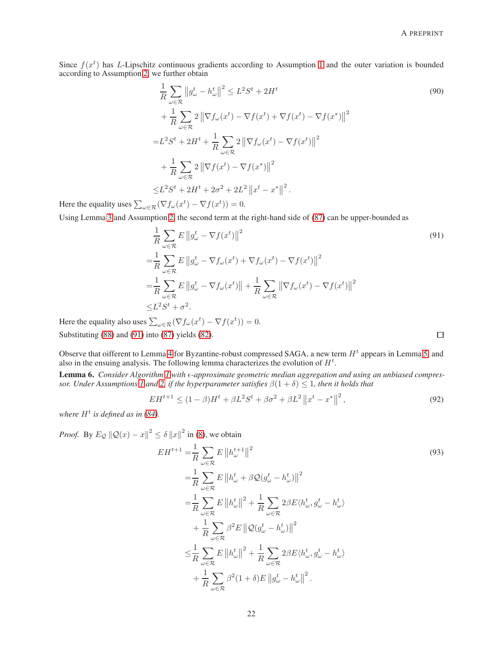Since  $f(x^t)$  has L-Lipschitz continuous gradients according to Assumption [1](#page-3-0) and the outer variation is bounded according to Assumption [2,](#page-3-1) we further obtain

$$
\frac{1}{R} \sum_{\omega \in \mathcal{R}} ||g_{\omega}^{t} - h_{\omega}^{t}||^{2} \leq L^{2}S^{t} + 2H^{t}
$$
\n
$$
+ \frac{1}{R} \sum_{\omega \in \mathcal{R}} 2 ||\nabla f_{\omega}(x^{t}) - \nabla f(x^{t}) + \nabla f(x^{t}) - \nabla f(x^{*})||^{2}
$$
\n
$$
= L^{2}S^{t} + 2H^{t} + \frac{1}{R} \sum_{\omega \in \mathcal{R}} 2 ||\nabla f_{\omega}(x^{t}) - \nabla f(x^{t})||^{2}
$$
\n
$$
+ \frac{1}{R} \sum_{\omega \in \mathcal{R}} 2 ||\nabla f(x^{t}) - \nabla f(x^{*})||^{2}
$$
\n
$$
\leq L^{2}S^{t} + 2H^{t} + 2\sigma^{2} + 2L^{2} ||x^{t} - x^{*}||^{2}.
$$
\n(90)

Here the equality uses  $\sum_{\omega \in \mathcal{R}} (\nabla f_{\omega}(x^t) - \nabla f(x^t)) = 0.$ 

Using Lemma [3](#page-17-1) and Assumption [2,](#page-3-1) the second term at the right-hand side of [\(87\)](#page-20-2) can be upper-bounded as

$$
\frac{1}{R} \sum_{\omega \in \mathcal{R}} E \left\| g_{\omega}^t - \nabla f(x^t) \right\|^2
$$
\n
$$
= \frac{1}{R} \sum_{\omega \in \mathcal{R}} E \left\| g_{\omega}^t - \nabla f_{\omega}(x^t) + \nabla f_{\omega}(x^t) - \nabla f(x^t) \right\|^2
$$
\n
$$
= \frac{1}{R} \sum_{\omega \in \mathcal{R}} E \left\| g_{\omega}^t - \nabla f_{\omega}(x^t) \right\| + \frac{1}{R} \sum_{\omega \in \mathcal{R}} \left\| \nabla f_{\omega}(x^t) - \nabla f(x^t) \right\|^2
$$
\n
$$
\leq L^2 S^t + \sigma^2.
$$
\n(91)

Here the equality also uses  $\sum_{\omega \in \mathcal{R}} (\nabla f_{\omega}(x^t) - \nabla f(x^t)) = 0.$ Substituting [\(88\)](#page-20-3) and [\(91\)](#page-21-0) into [\(87\)](#page-20-2) yields [\(82\)](#page-19-2).

<span id="page-21-1"></span><span id="page-21-0"></span> $\Box$ 

Observe that oifferent to Lemma [4](#page-17-8) for Byzantine-robust compressed SAGA, a new term  $H^t$  appears in Lemma [5,](#page-19-3) and also in the ensuing analysis. The following lemma characterizes the evolution of  $H<sup>t</sup>$ .

**Lemma 6.** Consider Algorithm [1](#page-8-0) with  $\epsilon$ -approximate geometric median aggregation and using an unbiased compres-*sor. Under Assumptions [1](#page-3-0) and [2,](#page-3-1) if the hyperparameter satisfies*  $\beta(1+\delta) \leq 1$ *, then it holds that* 

$$
EH^{t+1} \le (1 - \beta)H^t + \beta L^2 S^t + \beta \sigma^2 + \beta L^2 ||x^t - x^*||^2,
$$
\n(92)

where  $H^t$  is defined as in [\(84\)](#page-19-1).

*Proof.* By  $E_Q ||Q(x) - x||^2 \le \delta ||x||^2$  in [\(8\)](#page-3-4), we obtain

$$
EH^{t+1} = \frac{1}{R} \sum_{\omega \in \mathcal{R}} E ||h_{\omega}^{t+1}||^{2}
$$
  
\n
$$
= \frac{1}{R} \sum_{\omega \in \mathcal{R}} E ||h_{\omega}^{t} + \beta \mathcal{Q}(g_{\omega}^{t} - h_{\omega}^{t})||^{2}
$$
  
\n
$$
= \frac{1}{R} \sum_{\omega \in \mathcal{R}} E ||h_{\omega}^{t}||^{2} + \frac{1}{R} \sum_{\omega \in \mathcal{R}} 2\beta E \langle h_{\omega}^{t}, g_{\omega}^{t} - h_{\omega}^{t} \rangle
$$
  
\n
$$
+ \frac{1}{R} \sum_{\omega \in \mathcal{R}} \beta^{2} E ||\mathcal{Q}(g_{\omega}^{t} - h_{\omega}^{t})||^{2}
$$
  
\n
$$
\leq \frac{1}{R} \sum_{\omega \in \mathcal{R}} E ||h_{\omega}^{t}||^{2} + \frac{1}{R} \sum_{\omega \in \mathcal{R}} 2\beta E \langle h_{\omega}^{t}, g_{\omega}^{t} - h_{\omega}^{t} \rangle
$$
  
\n
$$
+ \frac{1}{R} \sum_{\omega \in \mathcal{R}} \beta^{2} (1 + \delta) E ||g_{\omega}^{t} - h_{\omega}^{t}||^{2}.
$$
  
\n(93)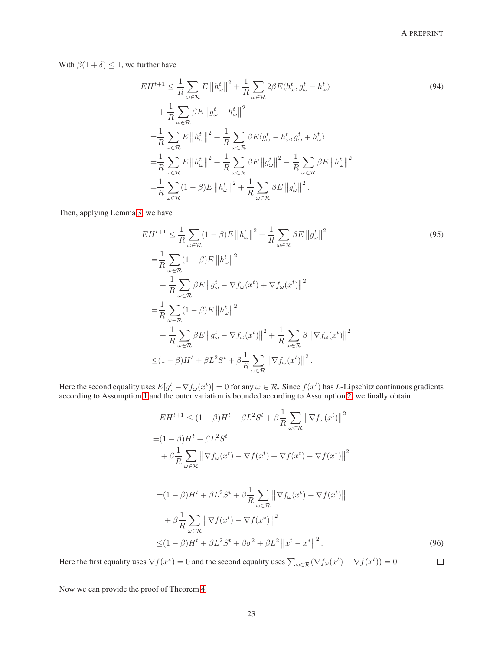With  $\beta(1 + \delta) \leq 1$ , we further have

$$
EH^{t+1} \leq \frac{1}{R} \sum_{\omega \in \mathcal{R}} E ||h_{\omega}^{t}||^{2} + \frac{1}{R} \sum_{\omega \in \mathcal{R}} 2\beta E \langle h_{\omega}^{t}, g_{\omega}^{t} - h_{\omega}^{t} \rangle
$$
\n
$$
+ \frac{1}{R} \sum_{\omega \in \mathcal{R}} \beta E ||g_{\omega}^{t} - h_{\omega}^{t}||^{2}
$$
\n
$$
= \frac{1}{R} \sum_{\omega \in \mathcal{R}} E ||h_{\omega}^{t}||^{2} + \frac{1}{R} \sum_{\omega \in \mathcal{R}} \beta E \langle g_{\omega}^{t} - h_{\omega}^{t}, g_{\omega}^{t} + h_{\omega}^{t} \rangle
$$
\n
$$
= \frac{1}{R} \sum_{\omega \in \mathcal{R}} E ||h_{\omega}^{t}||^{2} + \frac{1}{R} \sum_{\omega \in \mathcal{R}} \beta E ||g_{\omega}^{t}||^{2} - \frac{1}{R} \sum_{\omega \in \mathcal{R}} \beta E ||h_{\omega}^{t}||^{2}
$$
\n
$$
= \frac{1}{R} \sum_{\omega \in \mathcal{R}} (1 - \beta) E ||h_{\omega}^{t}||^{2} + \frac{1}{R} \sum_{\omega \in \mathcal{R}} \beta E ||g_{\omega}^{t}||^{2}.
$$
\n(94)

Then, applying Lemma [3,](#page-17-1) we have

$$
EH^{t+1} \leq \frac{1}{R} \sum_{\omega \in \mathcal{R}} (1 - \beta)E \left\| h_{\omega}^{t} \right\|^{2} + \frac{1}{R} \sum_{\omega \in \mathcal{R}} \beta E \left\| g_{\omega}^{t} \right\|^{2}
$$
\n
$$
= \frac{1}{R} \sum_{\omega \in \mathcal{R}} (1 - \beta)E \left\| h_{\omega}^{t} \right\|^{2}
$$
\n
$$
+ \frac{1}{R} \sum_{\omega \in \mathcal{R}} \beta E \left\| g_{\omega}^{t} - \nabla f_{\omega}(x^{t}) + \nabla f_{\omega}(x^{t}) \right\|^{2}
$$
\n
$$
= \frac{1}{R} \sum_{\omega \in \mathcal{R}} (1 - \beta)E \left\| h_{\omega}^{t} \right\|^{2}
$$
\n
$$
+ \frac{1}{R} \sum_{\omega \in \mathcal{R}} \beta E \left\| g_{\omega}^{t} - \nabla f_{\omega}(x^{t}) \right\|^{2} + \frac{1}{R} \sum_{\omega \in \mathcal{R}} \beta \left\| \nabla f_{\omega}(x^{t}) \right\|^{2}
$$
\n
$$
\leq (1 - \beta)H^{t} + \beta L^{2} S^{t} + \beta \frac{1}{R} \sum_{\omega \in \mathcal{R}} \left\| \nabla f_{\omega}(x^{t}) \right\|^{2}.
$$
\n(95)

Here the second equality uses  $E[g_\omega^t - \nabla f_\omega(x^t)] = 0$  for any  $\omega \in \mathcal{R}$ . Since  $f(x^t)$  has L-Lipschitz continuous gradients according to Assumption [1](#page-3-0) and the outer variation is bounded according to Assumption [2,](#page-3-1) we finally obtain

$$
EH^{t+1} \le (1 - \beta)H^t + \beta L^2 S^t + \beta \frac{1}{R} \sum_{\omega \in \mathcal{R}} \left\| \nabla f_{\omega}(x^t) \right\|^2
$$
  
=  $(1 - \beta)H^t + \beta L^2 S^t$   
+  $\beta \frac{1}{R} \sum_{\omega \in \mathcal{R}} \left\| \nabla f_{\omega}(x^t) - \nabla f(x^t) + \nabla f(x^t) - \nabla f(x^*) \right\|^2$ 

$$
= (1 - \beta)H^{t} + \beta L^{2}S^{t} + \beta \frac{1}{R} \sum_{\omega \in \mathcal{R}} \left\| \nabla f_{\omega}(x^{t}) - \nabla f(x^{t}) \right\|
$$
  
+ 
$$
\beta \frac{1}{R} \sum_{\omega \in \mathcal{R}} \left\| \nabla f(x^{t}) - \nabla f(x^{*}) \right\|^{2}
$$
  

$$
\leq (1 - \beta)H^{t} + \beta L^{2}S^{t} + \beta \sigma^{2} + \beta L^{2} \left\| x^{t} - x^{*} \right\|^{2}.
$$
 (96)

 $\Box$ Here the first equality uses  $\nabla f(x^*) = 0$  and the second equality uses  $\sum_{\omega \in \mathcal{R}} (\nabla f_{\omega}(x^t) - \nabla f(x^t)) = 0$ .

Now we can provide the proof of Theorem [4.](#page-8-1)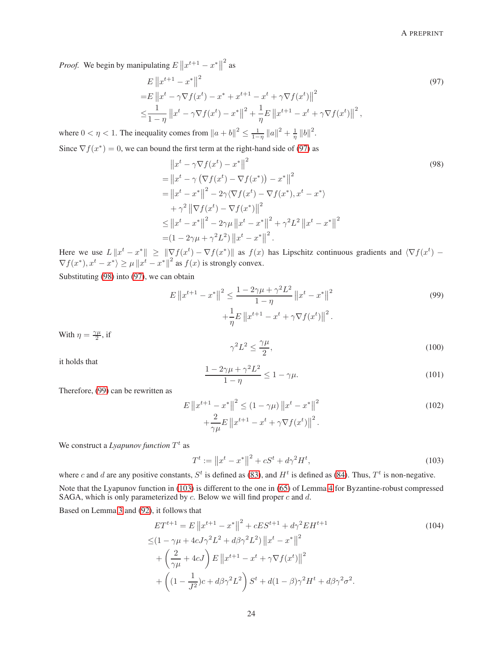*Proof.* We begin by manipulating  $E \left\| x^{t+1} - x^* \right\|$  $^{2}$  as

$$
E ||x^{t+1} - x^*||^2
$$
  
=  $E ||x^t - \gamma \nabla f(x^t) - x^* + x^{t+1} - x^t + \gamma \nabla f(x^t)||^2$   

$$
\leq \frac{1}{1 - \eta} ||x^t - \gamma \nabla f(x^t) - x^*||^2 + \frac{1}{\eta} E ||x^{t+1} - x^t + \gamma \nabla f(x^t)||^2,
$$
 (97)

where  $0 < \eta < 1$ . The inequality comes from  $||a + b||^2 \le \frac{1}{1-\eta} ||a||^2 + \frac{1}{\eta} ||b||^2$ .

Since  $\nabla f(x^*) = 0$ , we can bound the first term at the right-hand side of [\(97\)](#page-23-0) as

<span id="page-23-1"></span><span id="page-23-0"></span>
$$
||x^{t} - \gamma \nabla f(x^{t}) - x^{*}||^{2}
$$
\n
$$
= ||x^{t} - \gamma (\nabla f(x^{t}) - \nabla f(x^{*})) - x^{*}||^{2}
$$
\n
$$
= ||x^{t} - x^{*}||^{2} - 2\gamma \langle \nabla f(x^{t}) - \nabla f(x^{*}), x^{t} - x^{*} \rangle
$$
\n
$$
+ \gamma^{2} ||\nabla f(x^{t}) - \nabla f(x^{*})||^{2}
$$
\n
$$
\leq ||x^{t} - x^{*}||^{2} - 2\gamma \mu ||x^{t} - x^{*}||^{2} + \gamma^{2} L^{2} ||x^{t} - x^{*}||^{2}
$$
\n
$$
= (1 - 2\gamma \mu + \gamma^{2} L^{2}) ||x^{t} - x^{*}||^{2}.
$$
\n(98)

Here we use  $L \|x^t - x^*\| \geq \|\nabla f(x^t) - \nabla f(x^*)\|$  as  $f(x)$  has Lipschitz continuous gradients and  $\langle \nabla f(x^t) - \nabla f(x^*) \rangle$  $\nabla f(x^*), x^t - x^* \rangle \ge \mu \|x^t - x^*\|^2$  as  $f(x)$  is strongly convex.

Substituting [\(98\)](#page-23-1) into [\(97\)](#page-23-0), we can obtain

$$
E \|x^{t+1} - x^*\|^2 \le \frac{1 - 2\gamma\mu + \gamma^2 L^2}{1 - \eta} \|x^t - x^*\|^2
$$
  
 
$$
+ \frac{1}{\eta} E \|x^{t+1} - x^t + \gamma \nabla f(x^t)\|^2.
$$
 (99)

With  $\eta = \frac{\gamma \mu}{2}$ , if

<span id="page-23-2"></span>
$$
\gamma^2 L^2 \le \frac{\gamma \mu}{2},\tag{100}
$$

it holds that

$$
\frac{1 - 2\gamma\mu + \gamma^2 L^2}{1 - \eta} \le 1 - \gamma\mu.
$$
\n(101)

Therefore, [\(99\)](#page-23-2) can be rewritten as

$$
E \|x^{t+1} - x^*\|^2 \le (1 - \gamma \mu) \|x^t - x^*\|^2
$$
  
+ 
$$
\frac{2}{\gamma \mu} E \|x^{t+1} - x^t + \gamma \nabla f(x^t)\|^2.
$$
 (102)

We construct a *Lyapunov function*  $T<sup>t</sup>$  as

<span id="page-23-4"></span><span id="page-23-3"></span>
$$
T^t := \|x^t - x^*\|^2 + cS^t + d\gamma^2 H^t,\tag{103}
$$

where c and d are any positive constants,  $S^t$  is defined as [\(83\)](#page-19-4), and  $H^t$  is defined as [\(84\)](#page-19-1). Thus,  $T^t$  is non-negative. Note that the Lyapunov function in [\(103\)](#page-23-3) is different to the one in [\(65\)](#page-18-4) of Lemma [4](#page-17-8) for Byzantine-robust compressed SAGA, which is only parameterized by  $c$ . Below we will find proper  $c$  and  $d$ .

Based on Lemma [3](#page-17-1) and [\(92\)](#page-21-1), it follows that

$$
ET^{t+1} = E \|x^{t+1} - x^*\|^2 + cES^{t+1} + d\gamma^2 EH^{t+1}
$$
\n
$$
\leq (1 - \gamma \mu + 4cJ\gamma^2 L^2 + d\beta \gamma^2 L^2) \|x^t - x^*\|^2
$$
\n
$$
+ \left(\frac{2}{\gamma \mu} + 4cJ\right) E \|x^{t+1} - x^t + \gamma \nabla f(x^t)\|^2
$$
\n
$$
+ \left((1 - \frac{1}{J^2})c + d\beta \gamma^2 L^2\right) S^t + d(1 - \beta)\gamma^2 H^t + d\beta \gamma^2 \sigma^2.
$$
\n(104)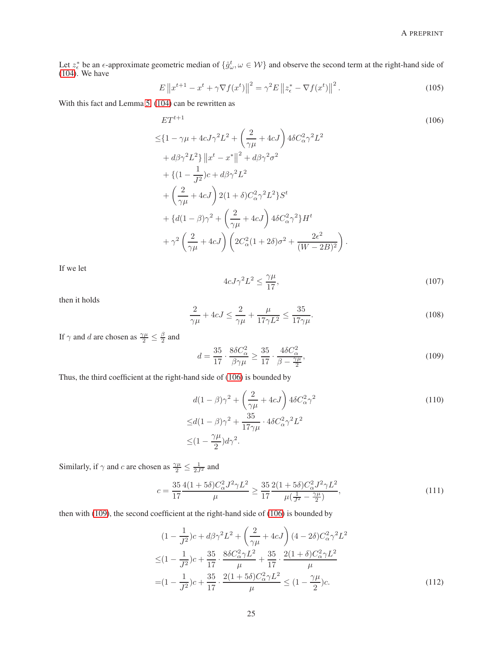Let  $z_{\epsilon}^*$  be an  $\epsilon$ -approximate geometric median of  $\{\hat{g}_{\omega}^t, \omega \in \mathcal{W}\}\$  and observe the second term at the right-hand side of [\(104\)](#page-23-4). We have

$$
E\left\|x^{t+1} - x^t + \gamma \nabla f(x^t)\right\|^2 = \gamma^2 E\left\|z^*_{\epsilon} - \nabla f(x^t)\right\|^2.
$$
 (105)

With this fact and Lemma [5,](#page-19-3) [\(104\)](#page-23-4) can be rewritten as

$$
ET^{t+1}
$$
\n
$$
\leq \{1 - \gamma \mu + 4cJ\gamma^2 L^2 + \left(\frac{2}{\gamma \mu} + 4cJ\right) 4\delta C_\alpha^2 \gamma^2 L^2
$$
\n
$$
+ d\beta \gamma^2 L^2\} \|x^t - x^*\|^2 + d\beta \gamma^2 \sigma^2
$$
\n
$$
+ \{ (1 - \frac{1}{J^2})c + d\beta \gamma^2 L^2
$$
\n
$$
+ \left(\frac{2}{\gamma \mu} + 4cJ\right) 2(1 + \delta) C_\alpha^2 \gamma^2 L^2 \} S^t
$$
\n
$$
+ \{ d(1 - \beta)\gamma^2 + \left(\frac{2}{\gamma \mu} + 4cJ\right) 4\delta C_\alpha^2 \gamma^2 \} H^t
$$
\n
$$
+ \gamma^2 \left(\frac{2}{\gamma \mu} + 4cJ\right) \left(2C_\alpha^2 (1 + 2\delta)\sigma^2 + \frac{2\epsilon^2}{(W - 2B)^2}\right).
$$
\n(106)

<span id="page-24-2"></span>If we let

<span id="page-24-0"></span>
$$
4cJ\gamma^2L^2 \le \frac{\gamma\mu}{17},\tag{107}
$$

then it holds

$$
\frac{2}{\gamma\mu} + 4cJ \le \frac{2}{\gamma\mu} + \frac{\mu}{17\gamma L^2} \le \frac{35}{17\gamma\mu}.
$$
\n(108)

If  $\gamma$  and d are chosen as  $\frac{\gamma \mu}{2} \leq \frac{\beta}{2}$  $\frac{3}{2}$  and

<span id="page-24-3"></span><span id="page-24-1"></span>
$$
d = \frac{35}{17} \cdot \frac{8\delta C_{\alpha}^2}{\beta \gamma \mu} \ge \frac{35}{17} \cdot \frac{4\delta C_{\alpha}^2}{\beta - \frac{\gamma \mu}{2}},\tag{109}
$$

Thus, the third coefficient at the right-hand side of [\(106\)](#page-24-0) is bounded by

$$
d(1 - \beta)\gamma^2 + \left(\frac{2}{\gamma\mu} + 4cJ\right)4\delta C_\alpha^2 \gamma^2
$$
  
\n
$$
\leq d(1 - \beta)\gamma^2 + \frac{35}{17\gamma\mu} \cdot 4\delta C_\alpha^2 \gamma^2 L^2
$$
  
\n
$$
\leq (1 - \frac{\gamma\mu}{2})d\gamma^2.
$$
\n(110)

Similarly, if  $\gamma$  and c are chosen as  $\frac{\gamma \mu}{2} \leq \frac{1}{2J^2}$  and

$$
c = \frac{35}{17} \frac{4(1+5\delta)C_{\alpha}^2 J^2 \gamma L^2}{\mu} \ge \frac{35}{17} \frac{2(1+5\delta)C_{\alpha}^2 J^2 \gamma L^2}{\mu(\frac{1}{J^2} - \frac{\gamma \mu}{2})},\tag{111}
$$

then with [\(109\)](#page-24-1), the second coefficient at the right-hand side of [\(106\)](#page-24-0) is bounded by

<span id="page-24-4"></span>
$$
(1 - \frac{1}{J^2})c + d\beta\gamma^2 L^2 + \left(\frac{2}{\gamma\mu} + 4cJ\right)(4 - 2\delta)C_\alpha^2 \gamma^2 L^2
$$
  
\n
$$
\leq (1 - \frac{1}{J^2})c + \frac{35}{17} \cdot \frac{8\delta C_\alpha^2 \gamma L^2}{\mu} + \frac{35}{17} \cdot \frac{2(1 + \delta)C_\alpha^2 \gamma L^2}{\mu}
$$
  
\n
$$
= (1 - \frac{1}{J^2})c + \frac{35}{17} \cdot \frac{2(1 + 5\delta)C_\alpha^2 \gamma L^2}{\mu} \leq (1 - \frac{\gamma\mu}{2})c.
$$
 (112)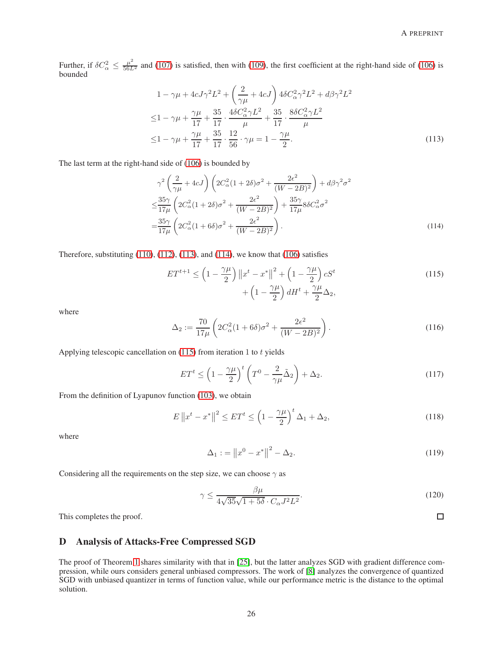Further, if  $\delta C_\alpha^2 \leq \frac{\mu^2}{56L^2}$  and [\(107\)](#page-24-2) is satisfied, then with [\(109\)](#page-24-1), the first coefficient at the right-hand side of [\(106\)](#page-24-0) is bounded

$$
1 - \gamma \mu + 4cJ\gamma^{2}L^{2} + \left(\frac{2}{\gamma\mu} + 4cJ\right) 4\delta C_{\alpha}^{2}\gamma^{2}L^{2} + d\beta\gamma^{2}L^{2}
$$
  
\n
$$
\leq 1 - \gamma\mu + \frac{\gamma\mu}{17} + \frac{35}{17} \cdot \frac{4\delta C_{\alpha}^{2}\gamma L^{2}}{\mu} + \frac{35}{17} \cdot \frac{8\delta C_{\alpha}^{2}\gamma L^{2}}{\mu}
$$
  
\n
$$
\leq 1 - \gamma\mu + \frac{\gamma\mu}{17} + \frac{35}{17} \cdot \frac{12}{56} \cdot \gamma\mu = 1 - \frac{\gamma\mu}{2}.
$$
\n(113)

The last term at the right-hand side of [\(106\)](#page-24-0) is bounded by

<span id="page-25-0"></span>
$$
\gamma^2 \left(\frac{2}{\gamma \mu} + 4cJ\right) \left(2C_\alpha^2 (1+2\delta)\sigma^2 + \frac{2\epsilon^2}{(W-2B)^2}\right) + d\beta \gamma^2 \sigma^2
$$
  

$$
\leq \frac{35\gamma}{17\mu} \left(2C_\alpha^2 (1+2\delta)\sigma^2 + \frac{2\epsilon^2}{(W-2B)^2}\right) + \frac{35\gamma}{17\mu} 8\delta C_\alpha^2 \sigma^2
$$
  

$$
= \frac{35\gamma}{17\mu} \left(2C_\alpha^2 (1+6\delta)\sigma^2 + \frac{2\epsilon^2}{(W-2B)^2}\right).
$$
 (114)

Therefore, substituting  $(110)$ ,  $(112)$ ,  $(113)$ , and  $(114)$ , we know that  $(106)$  satisfies

<span id="page-25-1"></span>
$$
ET^{t+1} \le \left(1 - \frac{\gamma \mu}{2}\right) \left\|x^t - x^*\right\|^2 + \left(1 - \frac{\gamma \mu}{2}\right) cS^t + \left(1 - \frac{\gamma \mu}{2}\right) dH^t + \frac{\gamma \mu}{2} \Delta_2,
$$
\n(115)

where

$$
\Delta_2 := \frac{70}{17\mu} \left( 2C_\alpha^2 (1 + 6\delta)\sigma^2 + \frac{2\epsilon^2}{(W - 2B)^2} \right). \tag{116}
$$

Applying telescopic cancellation on  $(115)$  from iteration 1 to t yields

$$
ET^{t} \le \left(1 - \frac{\gamma \mu}{2}\right)^{t} \left(T^{0} - \frac{2}{\gamma \mu} \tilde{\Delta}_{2}\right) + \Delta_{2}.
$$
\n(117)

From the definition of Lyapunov function [\(103\)](#page-23-3), we obtain

$$
E\left\|x^{t}-x^{*}\right\|^{2} \leq ET^{t} \leq \left(1-\frac{\gamma\mu}{2}\right)^{t} \Delta_{1}+\Delta_{2},\tag{118}
$$

where

$$
\Delta_1 := \|x^0 - x^*\|^2 - \Delta_2. \tag{119}
$$

Considering all the requirements on the step size, we can choose  $\gamma$  as

$$
\gamma \le \frac{\beta \mu}{4\sqrt{35}\sqrt{1+5\delta} \cdot C_{\alpha}J^2L^2}.
$$
\n(120)

This completes the proof.

# D Analysis of Attacks-Free Compressed SGD

The proof of Theorem [1](#page-4-3) shares similarity with that in [\[25\]](#page-13-21), but the latter analyzes SGD with gradient difference compression, while ours considers general unbiased compressors. The work of [\[8\]](#page-13-4) analyzes the convergence of quantized SGD with unbiased quantizer in terms of function value, while our performance metric is the distance to the optimal solution.

<span id="page-25-2"></span> $\Box$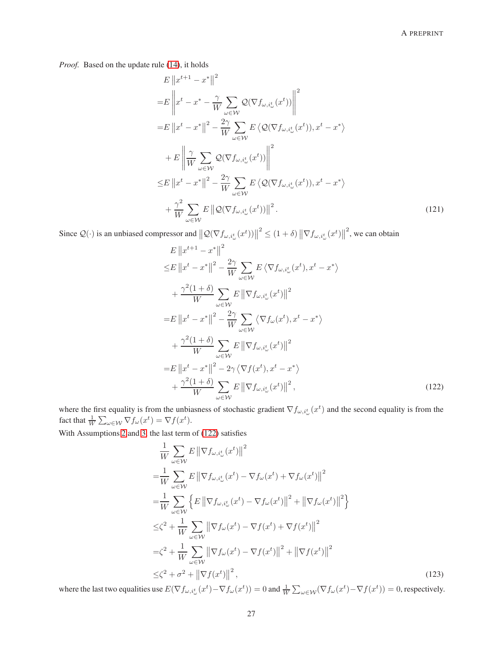*Proof.* Based on the update rule [\(14\)](#page-4-2), it holds

$$
E ||x^{t+1} - x^*||^2
$$
  
\n
$$
= E ||x^t - x^* - \frac{\gamma}{W} \sum_{\omega \in \mathcal{W}} \mathcal{Q}(\nabla f_{\omega, i_{\omega}^t}(x^t)) ||^2
$$
  
\n
$$
= E ||x^t - x^*||^2 - \frac{2\gamma}{W} \sum_{\omega \in \mathcal{W}} E \langle \mathcal{Q}(\nabla f_{\omega, i_{\omega}^t}(x^t)), x^t - x^* \rangle
$$
  
\n
$$
+ E ||\frac{\gamma}{W} \sum_{\omega \in \mathcal{W}} \mathcal{Q}(\nabla f_{\omega, i_{\omega}^t}(x^t)) ||^2
$$
  
\n
$$
\leq E ||x^t - x^*||^2 - \frac{2\gamma}{W} \sum_{\omega \in \mathcal{W}} E \langle \mathcal{Q}(\nabla f_{\omega, i_{\omega}^t}(x^t)), x^t - x^* \rangle
$$
  
\n
$$
+ \frac{\gamma^2}{W} \sum_{\omega \in \mathcal{W}} E ||\mathcal{Q}(\nabla f_{\omega, i_{\omega}^t}(x^t))||^2.
$$
\n(121)

Since  $Q(\cdot)$  is an unbiased compressor and  $||Q(\nabla f_{\omega,i_{\omega}^t}(x^t))||$  $\leq (1+\delta) \left\| \nabla f_{\omega,i_{\omega}^{t}}(x^{t}) \right\|$  $2<sup>2</sup>$ , we can obtain

$$
E ||x^{t+1} - x^*||^2
$$
  
\n
$$
\leq E ||x^t - x^*||^2 - \frac{2\gamma}{W} \sum_{\omega \in \mathcal{W}} E \langle \nabla f_{\omega, i^t_{\omega}}(x^t), x^t - x^* \rangle
$$
  
\n
$$
+ \frac{\gamma^2 (1+\delta)}{W} \sum_{\omega \in \mathcal{W}} E ||\nabla f_{\omega, i^t_{\omega}}(x^t)||^2
$$
  
\n
$$
= E ||x^t - x^*||^2 - \frac{2\gamma}{W} \sum_{\omega \in \mathcal{W}} \langle \nabla f_{\omega}(x^t), x^t - x^* \rangle
$$
  
\n
$$
+ \frac{\gamma^2 (1+\delta)}{W} \sum_{\omega \in \mathcal{W}} E ||\nabla f_{\omega, i^t_{\omega}}(x^t)||^2
$$
  
\n
$$
= E ||x^t - x^*||^2 - 2\gamma \langle \nabla f(x^t), x^t - x^* \rangle
$$
  
\n
$$
+ \frac{\gamma^2 (1+\delta)}{W} \sum_{\omega \in \mathcal{W}} E ||\nabla f_{\omega, i^t_{\omega}}(x^t)||^2,
$$
\n(122)

where the first equality is from the unbiasness of stochastic gradient  $\nabla f_{\omega,i^t_{\omega}}(x^t)$  and the second equality is from the fact that  $\frac{1}{W} \sum_{\omega \in \mathcal{W}} \nabla f_{\omega}(x^t) = \nabla f(x^t).$ 

With Assumptions [2](#page-3-1) and [3,](#page-4-0) the last term of [\(122\)](#page-26-0) satisfies

<span id="page-26-1"></span><span id="page-26-0"></span>
$$
\frac{1}{W} \sum_{\omega \in \mathcal{W}} E \left\| \nabla f_{\omega, i_{\omega}^{t}}(x^{t}) \right\|^{2}
$$
\n
$$
= \frac{1}{W} \sum_{\omega \in \mathcal{W}} E \left\| \nabla f_{\omega, i_{\omega}^{t}}(x^{t}) - \nabla f_{\omega}(x^{t}) + \nabla f_{\omega}(x^{t}) \right\|^{2}
$$
\n
$$
= \frac{1}{W} \sum_{\omega \in \mathcal{W}} \left\{ E \left\| \nabla f_{\omega, i_{\omega}^{t}}(x^{t}) - \nabla f_{\omega}(x^{t}) \right\|^{2} + \left\| \nabla f_{\omega}(x^{t}) \right\|^{2} \right\}
$$
\n
$$
\leq \zeta^{2} + \frac{1}{W} \sum_{\omega \in \mathcal{W}} \left\| \nabla f_{\omega}(x^{t}) - \nabla f(x^{t}) + \nabla f(x^{t}) \right\|^{2}
$$
\n
$$
= \zeta^{2} + \frac{1}{W} \sum_{\omega \in \mathcal{W}} \left\| \nabla f_{\omega}(x^{t}) - \nabla f(x^{t}) \right\|^{2} + \left\| \nabla f(x^{t}) \right\|^{2}
$$
\n
$$
\leq \zeta^{2} + \sigma^{2} + \left\| \nabla f(x^{t}) \right\|^{2}, \tag{123}
$$

where the last two equalities use  $E(\nabla f_{\omega,i^t_{\omega}}(x^t) - \nabla f_{\omega}(x^t)) = 0$  and  $\frac{1}{W} \sum_{\omega \in \mathcal{W}} (\nabla f_{\omega}(x^t) - \nabla f(x^t)) = 0$ , respectively.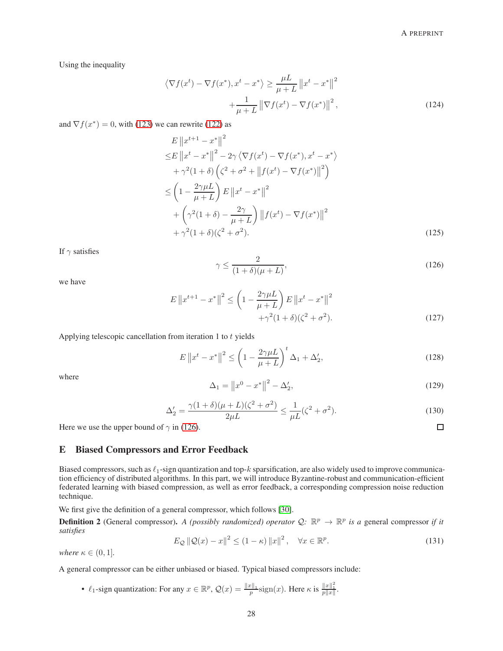Using the inequality

$$
\langle \nabla f(x^t) - \nabla f(x^*), x^t - x^* \rangle \ge \frac{\mu L}{\mu + L} ||x^t - x^*||^2
$$
  
 
$$
+ \frac{1}{\mu + L} ||\nabla f(x^t) - \nabla f(x^*)||^2,
$$
 (124)

and  $\nabla f(x^*) = 0$ , with [\(123\)](#page-26-1) we can rewrite [\(122\)](#page-26-0) as

$$
E ||x^{t+1} - x^*||^2
$$
  
\n
$$
\leq E ||x^t - x^*||^2 - 2\gamma \langle \nabla f(x^t) - \nabla f(x^*), x^t - x^* \rangle
$$
  
\n
$$
+ \gamma^2 (1 + \delta) \left( \zeta^2 + \sigma^2 + ||f(x^t) - \nabla f(x^*)||^2 \right)
$$
  
\n
$$
\leq \left( 1 - \frac{2\gamma \mu L}{\mu + L} \right) E ||x^t - x^*||^2
$$
  
\n
$$
+ \left( \gamma^2 (1 + \delta) - \frac{2\gamma}{\mu + L} \right) ||f(x^t) - \nabla f(x^*)||^2
$$
  
\n
$$
+ \gamma^2 (1 + \delta) (\zeta^2 + \sigma^2).
$$
\n(125)

<span id="page-27-0"></span>If  $\gamma$  satisfies

$$
\gamma \le \frac{2}{(1+\delta)(\mu+L)},\tag{126}
$$

we have

$$
E \|x^{t+1} - x^*\|^2 \le \left(1 - \frac{2\gamma\mu L}{\mu + L}\right) E \|x^t - x^*\|^2 + \gamma^2 (1 + \delta)(\zeta^2 + \sigma^2). \tag{127}
$$

Applying telescopic cancellation from iteration  $1$  to  $t$  yields

$$
E\left\|x^{t}-x^{*}\right\|^{2} \leq \left(1-\frac{2\gamma\mu L}{\mu+L}\right)^{t} \Delta_{1} + \Delta_{2}',\tag{128}
$$

where

$$
\Delta_1 = \|x^0 - x^*\|^2 - \Delta_2',\tag{129}
$$

$$
\Delta_2' = \frac{\gamma (1+\delta)(\mu + L)(\zeta^2 + \sigma^2)}{2\mu L} \le \frac{1}{\mu L} (\zeta^2 + \sigma^2).
$$
 (130)

Here we use the upper bound of  $\gamma$  in [\(126\)](#page-27-0).

# E Biased Compressors and Error Feedback

Biased compressors, such as  $\ell_1$ -sign quantization and top- $k$  sparsification, are also widely used to improve communication efficiency of distributed algorithms. In this part, we will introduce Byzantine-robust and communication-efficient federated learning with biased compression, as well as error feedback, a corresponding compression noise reduction technique.

We first give the definition of a general compressor, which follows [\[30\]](#page-14-4).

**Definition 2** (General compressor). *A (possibly randomized) operator*  $Q: \mathbb{R}^p \to \mathbb{R}^p$  *is a* general compressor *if it satisfies*

$$
E_{\mathcal{Q}}\left\|\mathcal{Q}(x)-x\right\|^2 \le (1-\kappa)\left\|x\right\|^2, \quad \forall x \in \mathbb{R}^p. \tag{131}
$$

*where*  $\kappa \in (0,1]$ *.* 

A general compressor can be either unbiased or biased. Typical biased compressors include:

•  $\ell_1$ -sign quantization: For any  $x \in \mathbb{R}^p$ ,  $\mathcal{Q}(x) = \frac{\|x\|_1}{p} \text{sign}(x)$ . Here  $\kappa$  is  $\frac{\|x\|_1^2}{p\|x\|}$ .

 $\Box$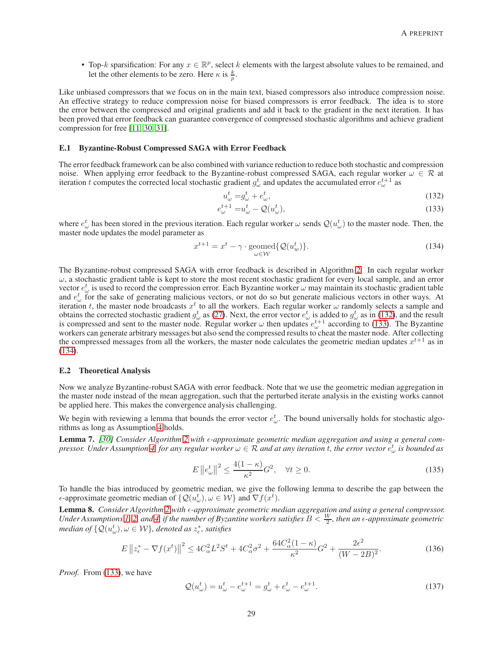• Top-k sparsification: For any  $x \in \mathbb{R}^p$ , select k elements with the largest absolute values to be remained, and let the other elements to be zero. Here  $\kappa$  is  $\frac{k}{p}$ .

Like unbiased compressors that we focus on in the main text, biased compressors also introduce compression noise. An effective strategy to reduce compression noise for biased compressors is error feedback. The idea is to store the error between the compressed and original gradients and add it back to the gradient in the next iteration. It has been proved that error feedback can guarantee convergence of compressed stochastic algorithms and achieve gradient compression for free [\[11,](#page-13-7) [30,](#page-14-4) [31\]](#page-14-5).

#### E.1 Byzantine-Robust Compressed SAGA with Error Feedback

The error feedback framework can be also combined with variance reduction to reduce both stochastic and compression noise. When applying error feedback to the Byzantine-robust compressed SAGA, each regular worker  $\omega \in \mathcal{R}$  at iteration t computes the corrected local stochastic gradient  $g^t_\omega$  and updates the accumulated error  $e^{t+1}_\omega$  as

<span id="page-28-1"></span><span id="page-28-0"></span>
$$
u^t_\omega = g^t_\omega + e^t_\omega,\tag{132}
$$

$$
e_{\omega}^{t+1} = u_{\omega}^t - \mathcal{Q}(u_{\omega}^t),\tag{133}
$$

where  $e_\omega^t$  has been stored in the previous iteration. Each regular worker  $\omega$  sends  $\mathcal{Q}(u_\omega^t)$  to the master node. Then, the master node updates the model parameter as

<span id="page-28-2"></span>
$$
x^{t+1} = x^t - \gamma \cdot \text{geomed}\{Q(u_w^t)\}.
$$
\n(134)

The Byzantine-robust compressed SAGA with error feedback is described in Algorithm [2.](#page-29-0) In each regular worker  $\omega$ , a stochastic gradient table is kept to store the most recent stochastic gradient for every local sample, and an error vector  $e_\omega^t$  is used to record the compression error. Each Byzantine worker  $\omega$  may maintain its stochastic gradient table and  $e_{\omega}^{t}$  for the sake of generating malicious vectors, or not do so but generate malicious vectors in other ways. At iteration t, the master node broadcasts  $x^t$  to all the workers. Each regular worker  $\omega$  randomly selects a sample and obtains the corrected stochastic gradient  $g_\omega^t$  as [\(27\)](#page-6-2). Next, the error vector  $e_\omega^t$  is added to  $g_\omega^t$  as in [\(132\)](#page-28-0), and the result is compressed and sent to the master node. Regular worker  $\omega$  then updates  $e_{\omega}^{t+1}$  according to [\(133\)](#page-28-1). The Byzantine workers can generate arbitrary messages but also send the compressed results to cheat the master node. After collecting the compressed messages from all the workers, the master node calculates the geometric median updates  $x^{t+1}$  as in [\(134\)](#page-28-2).

#### E.2 Theoretical Analysis

Now we analyze Byzantine-robust SAGA with error feedback. Note that we use the geometric median aggregation in the master node instead of the mean aggregation, such that the perturbed iterate analysis in the existing works cannot be applied here. This makes the convergence analysis challenging.

We begin with reviewing a lemma that bounds the error vector  $e_{\omega}^t$ . The bound universally holds for stochastic algorithms as long as Assumption [4](#page-4-1) holds.

<span id="page-28-3"></span>**Lemma 7.** [\[30\]](#page-14-4) Consider Algorithm [2](#page-29-0) with  $\epsilon$ -approximate geometric median aggregation and using a general com-*pressor. Under Assumption [4,](#page-4-1) for any regular worker*  $\omega \in R$  *and at any iteration t, the error vector*  $e_\omega^t$  *is bounded as* 

$$
E\left\|e_{\omega}^{t}\right\|^{2} \le \frac{4(1-\kappa)}{\kappa^{2}}G^{2}, \quad \forall t \ge 0.
$$
\n(135)

To handle the bias introduced by geometric median, we give the following lemma to describe the gap between the  $\epsilon$ -approximate geometric median of  $\{Q(u_\omega^t), \omega \in \mathcal{W}\}\$ and  $\nabla f(x^t)$ .

<span id="page-28-4"></span>Lemma 8. Consider Algorithm [2](#page-29-0) with  $\epsilon$ -approximate geometric median aggregation and using a general compressor. Under Assumptions [1,](#page-3-0) [2,](#page-3-1) and [4,](#page-4-1) if the number of Byzantine workers satisfies  $B < \frac{W}{2}$ , then an  $\epsilon$ -approximate geometric *median of*  $\{ \mathcal{Q}(u^t_\omega), \omega \in \mathcal{W} \}$ , denoted as  $z^*_\epsilon$ , satisfies

$$
E\left\|z_{\epsilon}^{*} - \nabla f(x^{t})\right\|^{2} \le 4C_{\alpha}^{2}L^{2}S^{t} + 4C_{\alpha}^{2}\sigma^{2} + \frac{64C_{\alpha}^{2}(1-\kappa)}{\kappa^{2}}G^{2} + \frac{2\epsilon^{2}}{(W-2B)^{2}}.
$$
\n(136)

*Proof.* From [\(133\)](#page-28-1), we have

$$
Q(u_{\omega}^{t}) = u_{\omega}^{t} - e_{\omega}^{t+1} = g_{\omega}^{t} + e_{\omega}^{t} - e_{\omega}^{t+1}.
$$
\n(137)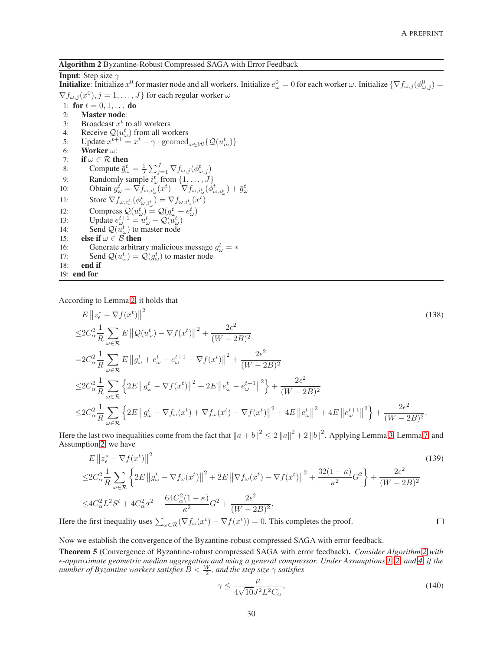<span id="page-29-0"></span>Algorithm 2 Byzantine-Robust Compressed SAGA with Error Feedback

# **Input:** Step size  $\gamma$

**Initialize**: Initialize  $x^0$  for master node and all workers. Initialize  $e^0_\omega = 0$  for each worker  $\omega$ . Initialize  $\{\nabla f_{\omega,j}(\phi^0_{\omega,j}) = 0\}$  $\nabla f_{\omega,j}(x^0), j = 1, \ldots, J\}$  for each regular worker  $\omega$ 

- 1: for  $t = 0, 1, ...$  do
- 2: Master node:
- 3: Broadcast  $x^t$  to all workers
- 4: Receive  $Q(u^t_\omega)$  from all workers
- 5: Update  $x^{t+1} = x^t \gamma \cdot \text{geomed}_{\omega \in \mathcal{W}}\{\mathcal{Q}(u_m^t)\}\$ 6: Worker  $\omega$ :
- 
- 7: **if**  $\omega \in \mathcal{R}$  **then**<br>8: **Compute**  $\overline{q}_c^t$ 8: Compute  $\bar{g}^t_{\omega} = \frac{1}{J} \sum_{j=1}^J \nabla f_{\omega,j}(\phi^t_{\omega,j})$
- 
- 9: Randomly sample  $i_{\omega}^t$  from  $\{1, ..., J\}$ <br>
10: Obtain  $g_{\omega}^t = \nabla f_{\omega, i_{\omega}^t}(x^t) \nabla f_{\omega, i_{\omega}^t}(\phi_{\omega, i_{\omega}^t}^t) + \bar{g}_{\omega}^t$
- 11: Store  $\nabla f_{\omega,i_{\omega}^t}(\phi_{\omega,i_{\omega}^t}^t) = \nabla f_{\omega,i_{\omega}^t}(x^t)$
- 
- 12: Compress  $\mathcal{Q}(u^t_\omega) = \mathcal{Q}(g^t_\omega + e^t_\omega)$ 13: Update  $e_{\omega}^{t+1} = u_{\omega}^t - \mathcal{Q}(\tilde{u}_{\omega}^t)$
- 14: Send  $\mathcal{Q}(\tilde{u}^t_\omega)$  to master node
- 
- 15: **else if**  $\omega \in \mathcal{B}$  **then**<br>16: **Generate arbitra** 16: Generate arbitrary malicious message  $g^t_\omega = *$
- 17: Send  $\mathcal{Q}(u^t_\omega) = \mathcal{Q}(g^t_\omega)$  to master node

18: end if

19: end for

According to Lemma [2,](#page-15-0) it holds that

$$
E ||z_{\epsilon}^{*} - \nabla f(x^{t})||^{2}
$$
\n
$$
\leq 2C_{\alpha}^{2} \frac{1}{R} \sum_{\omega \in \mathcal{R}} E ||Q(u_{\omega}^{t}) - \nabla f(x^{t})||^{2} + \frac{2\epsilon^{2}}{(W - 2B)^{2}}
$$
\n
$$
= 2C_{\alpha}^{2} \frac{1}{R} \sum_{\omega \in \mathcal{R}} E ||g_{\omega}^{t} + e_{\omega}^{t} - e_{\omega}^{t+1} - \nabla f(x^{t})||^{2} + \frac{2\epsilon^{2}}{(W - 2B)^{2}}
$$
\n
$$
\leq 2C_{\alpha}^{2} \frac{1}{R} \sum_{\omega \in \mathcal{R}} \left\{ 2E ||g_{\omega}^{t} - \nabla f(x^{t})||^{2} + 2E ||e_{\omega}^{t} - e_{\omega}^{t+1}||^{2} \right\} + \frac{2\epsilon^{2}}{(W - 2B)^{2}}
$$
\n
$$
\leq 2C_{\alpha}^{2} \frac{1}{R} \sum_{\omega \in \mathcal{R}} \left\{ 2E ||g_{\omega}^{t} - \nabla f_{\omega}(x^{t}) + \nabla f_{\omega}(x^{t}) - \nabla f(x^{t})||^{2} + 4E ||e_{\omega}^{t}||^{2} + 4E ||e_{\omega}^{t+1}||^{2} \right\} + \frac{2\epsilon^{2}}{(W - 2B)^{2}}.
$$
\n(138)

Here the last two inequalities come from the fact that  $||a + b||^2 \le 2 ||a||^2 + 2 ||b||^2$ . Applying Lemma [3,](#page-17-1) Lemma [7,](#page-28-3) and Assumption [2,](#page-3-1) we have

$$
E ||z_{\epsilon}^{*} - \nabla f(x^{t})||^{2}
$$
\n
$$
\leq 2C_{\alpha}^{2} \frac{1}{R} \sum_{\omega \in \mathcal{R}} \left\{ 2E ||g_{\omega}^{t} - \nabla f_{\omega}(x^{t})||^{2} + 2E ||\nabla f_{\omega}(x^{t}) - \nabla f(x^{t})||^{2} + \frac{32(1 - \kappa)}{\kappa^{2}} G^{2} \right\} + \frac{2\epsilon^{2}}{(W - 2B)^{2}}
$$
\n
$$
\leq 4C_{\alpha}^{2} L^{2} S^{t} + 4C_{\alpha}^{2} \sigma^{2} + \frac{64C_{\alpha}^{2}(1 - \kappa)}{\kappa^{2}} G^{2} + \frac{2\epsilon^{2}}{(W - 2B)^{2}}.
$$
\n(139)

Here the first inequality uses  $\sum_{\omega \in \mathcal{R}} (\nabla f_{\omega}(x^t) - \nabla f(x^t)) = 0$ . This completes the proof.

Now we establish the convergence of the Byzantine-robust compressed SAGA with error feedback.

<span id="page-29-1"></span>Theorem 5 (Convergence of Byzantine-robust compressed SAGA with error feedback). *Consider Algorithm [2](#page-29-0) with* ǫ*-approximate geometric median aggregation and using a general compressor. Under Assumptions [1,](#page-3-0) [2,](#page-3-1) and [4,](#page-4-1) if the number of Byzantine workers satisfies*  $B < \frac{W}{2}$ *, and the step size*  $\gamma$  *satisfies* 

$$
\gamma \le \frac{\mu}{4\sqrt{10}J^2L^2C_{\alpha}},\tag{140}
$$

 $\Box$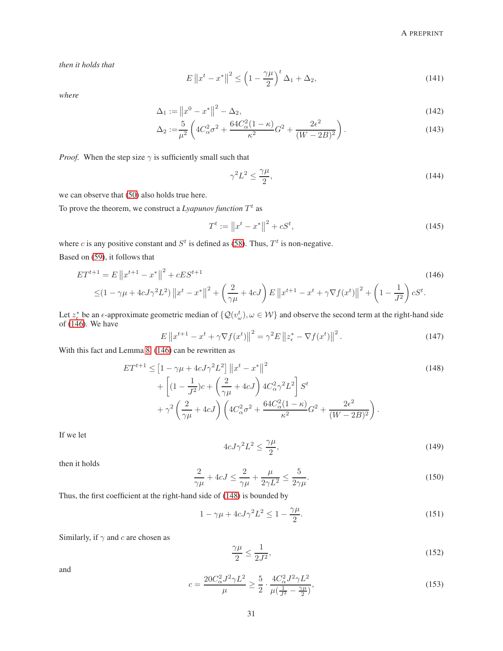*then it holds that*

$$
E\left\|x^{t}-x^{*}\right\|^{2} \leq \left(1-\frac{\gamma\mu}{2}\right)^{t} \Delta_{1} + \Delta_{2},\tag{141}
$$

*where*

$$
\Delta_1 := \|x^0 - x^*\|^2 - \Delta_2,\tag{142}
$$

$$
\Delta_2 := \frac{5}{\mu^2} \left( 4C_\alpha^2 \sigma^2 + \frac{64C_\alpha^2 (1 - \kappa)}{\kappa^2} G^2 + \frac{2\epsilon^2}{(W - 2B)^2} \right). \tag{143}
$$

*Proof.* When the step size  $\gamma$  is sufficiently small such that

<span id="page-30-4"></span><span id="page-30-3"></span><span id="page-30-0"></span>
$$
\gamma^2 L^2 \le \frac{\gamma \mu}{2},\tag{144}
$$

we can observe that [\(50\)](#page-16-1) also holds true here.

To prove the theorem, we construct a  $Lyapunov function T<sup>t</sup>$  as

$$
T^t := \|x^t - x^*\|^2 + cS^t,\tag{145}
$$

where c is any positive constant and  $S<sup>t</sup>$  is defined as [\(58\)](#page-17-6). Thus,  $T<sup>t</sup>$  is non-negative.

Based on [\(59\)](#page-17-7), it follows that

$$
ET^{t+1} = E \|x^{t+1} - x^*\|^2 + cES^{t+1}
$$
\n
$$
\leq (1 - \gamma \mu + 4cJ\gamma^2 L^2) \|x^t - x^*\|^2 + \left(\frac{2}{\gamma \mu} + 4cJ\right)E \|x^{t+1} - x^t + \gamma \nabla f(x^t)\|^2 + \left(1 - \frac{1}{J^2}\right)cS^t.
$$
\n(146)

Let  $z_6^*$  be an  $\epsilon$ -approximate geometric median of  $\{Q(v_\omega^t), \omega \in \mathcal{W}\}\$ and observe the second term at the right-hand side of  $(146)$ . We have

$$
E\left\|x^{t+1} - x^t + \gamma \nabla f(x^t)\right\|^2 = \gamma^2 E \left\|z^*_{\epsilon} - \nabla f(x^t)\right\|^2.
$$
 (147)

With this fact and Lemma [8,](#page-28-4) [\(146\)](#page-30-0) can be rewritten as

$$
ET^{t+1} \leq \left[1 - \gamma \mu + 4cJ\gamma^2 L^2\right] \|x^t - x^*\|^2 + \left[(1 - \frac{1}{J^2})c + \left(\frac{2}{\gamma \mu} + 4cJ\right)4C_{\alpha}^2 \gamma^2 L^2\right] S^t + \gamma^2 \left(\frac{2}{\gamma \mu} + 4cJ\right) \left(4C_{\alpha}^2 \sigma^2 + \frac{64C_{\alpha}^2 (1 - \kappa)}{\kappa^2} G^2 + \frac{2\epsilon^2}{(W - 2B)^2}\right).
$$
\n(148)

If we let

<span id="page-30-1"></span>
$$
4cJ\gamma^2L^2 \le \frac{\gamma\mu}{2},\tag{149}
$$

then it holds

$$
\frac{2}{\gamma\mu} + 4cJ \le \frac{2}{\gamma\mu} + \frac{\mu}{2\gamma L^2} \le \frac{5}{2\gamma\mu}.
$$
\n(150)

Thus, the first coefficient at the right-hand side of [\(148\)](#page-30-1) is bounded by

<span id="page-30-5"></span>
$$
1 - \gamma \mu + 4cJ\gamma^2 L^2 \le 1 - \frac{\gamma \mu}{2}.\tag{151}
$$

Similarly, if  $\gamma$  and c are chosen as

<span id="page-30-2"></span>
$$
\frac{\gamma \mu}{2} \le \frac{1}{2J^2},\tag{152}
$$

and

$$
c = \frac{20C_{\alpha}^2 J^2 \gamma L^2}{\mu} \ge \frac{5}{2} \cdot \frac{4C_{\alpha}^2 J^2 \gamma L^2}{\mu(\frac{1}{J^2} - \frac{\gamma \mu}{2})},\tag{153}
$$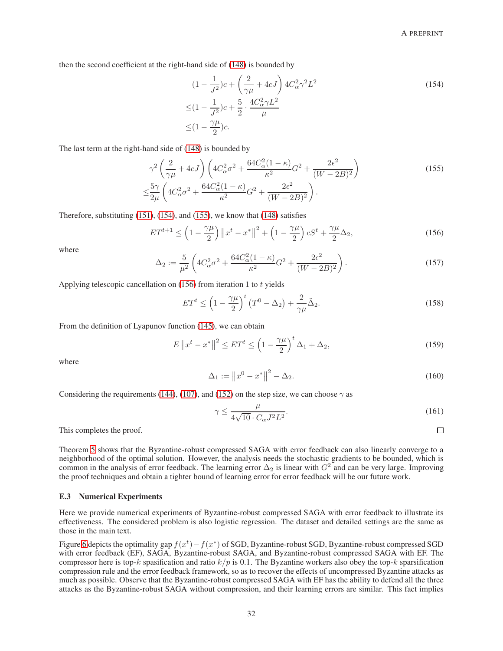$\Box$ 

then the second coefficient at the right-hand side of [\(148\)](#page-30-1) is bounded by

<span id="page-31-1"></span><span id="page-31-0"></span>
$$
(1 - \frac{1}{J^2})c + \left(\frac{2}{\gamma\mu} + 4cJ\right)4C_{\alpha}^2 \gamma^2 L^2
$$
  
\n
$$
\leq (1 - \frac{1}{J^2})c + \frac{5}{2} \cdot \frac{4C_{\alpha}^2 \gamma L^2}{\mu}
$$
  
\n
$$
\leq (1 - \frac{\gamma\mu}{2})c.
$$
\n(154)

The last term at the right-hand side of [\(148\)](#page-30-1) is bounded by

$$
\gamma^2 \left(\frac{2}{\gamma \mu} + 4cJ\right) \left(4C_{\alpha}^2 \sigma^2 + \frac{64C_{\alpha}^2 (1 - \kappa)}{\kappa^2} G^2 + \frac{2\epsilon^2}{(W - 2B)^2}\right) \n\leq \frac{5\gamma}{2\mu} \left(4C_{\alpha}^2 \sigma^2 + \frac{64C_{\alpha}^2 (1 - \kappa)}{\kappa^2} G^2 + \frac{2\epsilon^2}{(W - 2B)^2}\right).
$$
\n(155)

Therefore, substituting [\(151\)](#page-30-2), [\(154\)](#page-31-0), and [\(155\)](#page-31-1), we know that [\(148\)](#page-30-1) satisfies

$$
ET^{t+1} \le \left(1 - \frac{\gamma \mu}{2}\right) \left\|x^t - x^*\right\|^2 + \left(1 - \frac{\gamma \mu}{2}\right) cS^t + \frac{\gamma \mu}{2} \Delta_2,\tag{156}
$$

where

$$
\Delta_2 := \frac{5}{\mu^2} \left( 4C_\alpha^2 \sigma^2 + \frac{64C_\alpha^2 (1 - \kappa)}{\kappa^2} G^2 + \frac{2\epsilon^2}{(W - 2B)^2} \right). \tag{157}
$$

Applying telescopic cancellation on  $(156)$  from iteration 1 to t yields

<span id="page-31-2"></span>
$$
ET^{t} \le \left(1 - \frac{\gamma \mu}{2}\right)^{t} \left(T^{0} - \Delta_{2}\right) + \frac{2}{\gamma \mu} \tilde{\Delta}_{2}.
$$
\n(158)

From the definition of Lyapunov function [\(145\)](#page-30-3), we can obtain

$$
E\left\|x^{t}-x^{*}\right\|^{2} \leq ET^{t} \leq \left(1-\frac{\gamma\mu}{2}\right)^{t} \Delta_{1} + \Delta_{2},\tag{159}
$$

where

$$
\Delta_1 := \|x^0 - x^*\|^2 - \Delta_2. \tag{160}
$$

Considering the requirements [\(144\)](#page-30-4), [\(107\)](#page-24-2), and [\(152\)](#page-30-5) on the step size, we can choose  $\gamma$  as

$$
\gamma \le \frac{\mu}{4\sqrt{10} \cdot C_{\alpha} J^2 L^2}.
$$
\n(161)

This completes the proof.

Theorem [5](#page-29-1) shows that the Byzantine-robust compressed SAGA with error feedback can also linearly converge to a neighborhood of the optimal solution. However, the analysis needs the stochastic gradients to be bounded, which is common in the analysis of error feedback. The learning error  $\Delta_2$  is linear with  $G^2$  and can be very large. Improving the proof techniques and obtain a tighter bound of learning error for error feedback will be our future work.

#### E.3 Numerical Experiments

Here we provide numerical experiments of Byzantine-robust compressed SAGA with error feedback to illustrate its effectiveness. The considered problem is also logistic regression. The dataset and detailed settings are the same as those in the main text.

Figure [6](#page-32-0) depicts the optimality gap  $f(x^t) - f(x^*)$  of SGD, Byzantine-robust SGD, Byzantine-robust compressed SGD with error feedback (EF), SAGA, Byzantine-robust SAGA, and Byzantine-robust compressed SAGA with EF. The compressor here is top-k spasification and ratio  $k/p$  is 0.1. The Byzantine workers also obey the top-k sparsification compression rule and the error feedback framework, so as to recover the effects of uncompressed Byzantine attacks as much as possible. Observe that the Byzantine-robust compressed SAGA with EF has the ability to defend all the three attacks as the Byzantine-robust SAGA without compression, and their learning errors are similar. This fact implies